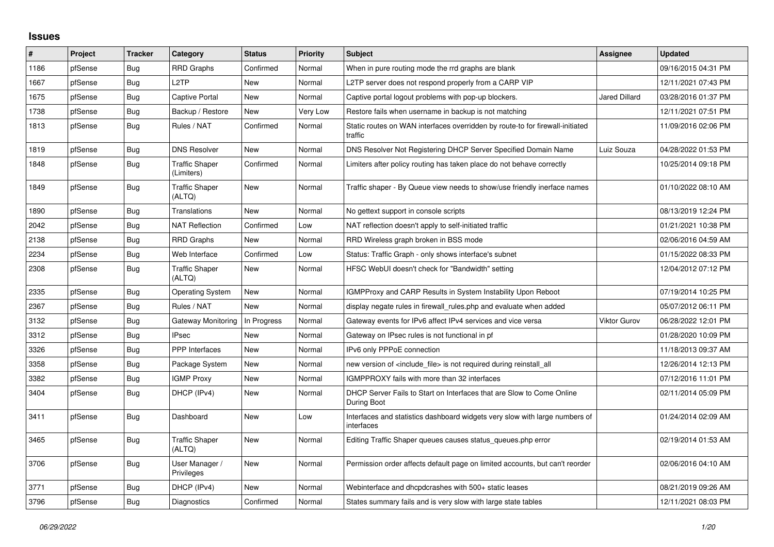## **Issues**

| ∦    | Project | <b>Tracker</b> | Category                            | <b>Status</b> | <b>Priority</b> | <b>Subject</b>                                                                            | Assignee             | <b>Updated</b>      |
|------|---------|----------------|-------------------------------------|---------------|-----------------|-------------------------------------------------------------------------------------------|----------------------|---------------------|
| 1186 | pfSense | Bug            | <b>RRD Graphs</b>                   | Confirmed     | Normal          | When in pure routing mode the rrd graphs are blank                                        |                      | 09/16/2015 04:31 PM |
| 1667 | pfSense | Bug            | L <sub>2</sub> TP                   | New           | Normal          | L2TP server does not respond properly from a CARP VIP                                     |                      | 12/11/2021 07:43 PM |
| 1675 | pfSense | Bug            | <b>Captive Portal</b>               | New           | Normal          | Captive portal logout problems with pop-up blockers.                                      | <b>Jared Dillard</b> | 03/28/2016 01:37 PM |
| 1738 | pfSense | <b>Bug</b>     | Backup / Restore                    | New           | Very Low        | Restore fails when username in backup is not matching                                     |                      | 12/11/2021 07:51 PM |
| 1813 | pfSense | Bug            | Rules / NAT                         | Confirmed     | Normal          | Static routes on WAN interfaces overridden by route-to for firewall-initiated<br>traffic  |                      | 11/09/2016 02:06 PM |
| 1819 | pfSense | Bug            | <b>DNS Resolver</b>                 | <b>New</b>    | Normal          | DNS Resolver Not Registering DHCP Server Specified Domain Name                            | Luiz Souza           | 04/28/2022 01:53 PM |
| 1848 | pfSense | Bug            | <b>Traffic Shaper</b><br>(Limiters) | Confirmed     | Normal          | Limiters after policy routing has taken place do not behave correctly                     |                      | 10/25/2014 09:18 PM |
| 1849 | pfSense | Bug            | <b>Traffic Shaper</b><br>(ALTQ)     | <b>New</b>    | Normal          | Traffic shaper - By Queue view needs to show/use friendly inerface names                  |                      | 01/10/2022 08:10 AM |
| 1890 | pfSense | Bug            | Translations                        | <b>New</b>    | Normal          | No gettext support in console scripts                                                     |                      | 08/13/2019 12:24 PM |
| 2042 | pfSense | Bug            | <b>NAT Reflection</b>               | Confirmed     | Low             | NAT reflection doesn't apply to self-initiated traffic                                    |                      | 01/21/2021 10:38 PM |
| 2138 | pfSense | <b>Bug</b>     | RRD Graphs                          | <b>New</b>    | Normal          | RRD Wireless graph broken in BSS mode                                                     |                      | 02/06/2016 04:59 AM |
| 2234 | pfSense | <b>Bug</b>     | Web Interface                       | Confirmed     | Low             | Status: Traffic Graph - only shows interface's subnet                                     |                      | 01/15/2022 08:33 PM |
| 2308 | pfSense | Bug            | <b>Traffic Shaper</b><br>(ALTQ)     | New           | Normal          | HFSC WebUI doesn't check for "Bandwidth" setting                                          |                      | 12/04/2012 07:12 PM |
| 2335 | pfSense | Bug            | <b>Operating System</b>             | <b>New</b>    | Normal          | IGMPProxy and CARP Results in System Instability Upon Reboot                              |                      | 07/19/2014 10:25 PM |
| 2367 | pfSense | <b>Bug</b>     | Rules / NAT                         | <b>New</b>    | Normal          | display negate rules in firewall_rules.php and evaluate when added                        |                      | 05/07/2012 06:11 PM |
| 3132 | pfSense | Bug            | Gateway Monitoring                  | In Progress   | Normal          | Gateway events for IPv6 affect IPv4 services and vice versa                               | Viktor Gurov         | 06/28/2022 12:01 PM |
| 3312 | pfSense | <b>Bug</b>     | <b>IPsec</b>                        | New           | Normal          | Gateway on IPsec rules is not functional in pf                                            |                      | 01/28/2020 10:09 PM |
| 3326 | pfSense | Bug            | <b>PPP</b> Interfaces               | New           | Normal          | IPv6 only PPPoE connection                                                                |                      | 11/18/2013 09:37 AM |
| 3358 | pfSense | Bug            | Package System                      | New           | Normal          | new version of <include file=""> is not required during reinstall all</include>           |                      | 12/26/2014 12:13 PM |
| 3382 | pfSense | Bug            | <b>IGMP Proxy</b>                   | <b>New</b>    | Normal          | IGMPPROXY fails with more than 32 interfaces                                              |                      | 07/12/2016 11:01 PM |
| 3404 | pfSense | Bug            | DHCP (IPv4)                         | New           | Normal          | DHCP Server Fails to Start on Interfaces that are Slow to Come Online<br>During Boot      |                      | 02/11/2014 05:09 PM |
| 3411 | pfSense | <b>Bug</b>     | Dashboard                           | <b>New</b>    | Low             | Interfaces and statistics dashboard widgets very slow with large numbers of<br>interfaces |                      | 01/24/2014 02:09 AM |
| 3465 | pfSense | <b>Bug</b>     | <b>Traffic Shaper</b><br>(ALTQ)     | New           | Normal          | Editing Traffic Shaper queues causes status_queues.php error                              |                      | 02/19/2014 01:53 AM |
| 3706 | pfSense | Bug            | User Manager /<br>Privileges        | New           | Normal          | Permission order affects default page on limited accounts, but can't reorder              |                      | 02/06/2016 04:10 AM |
| 3771 | pfSense | Bug            | DHCP (IPv4)                         | New           | Normal          | Webinterface and dhcpdcrashes with 500+ static leases                                     |                      | 08/21/2019 09:26 AM |
| 3796 | pfSense | Bug            | Diagnostics                         | Confirmed     | Normal          | States summary fails and is very slow with large state tables                             |                      | 12/11/2021 08:03 PM |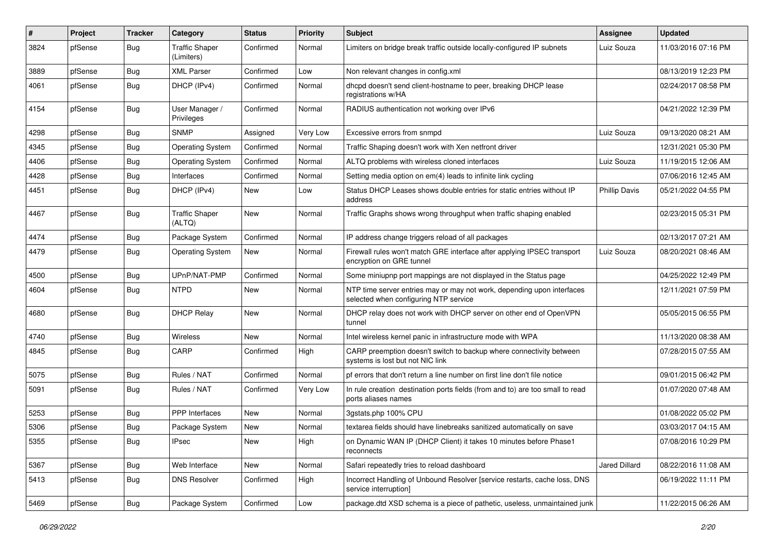| #    | Project | <b>Tracker</b> | Category                            | <b>Status</b> | <b>Priority</b> | Subject                                                                                                         | Assignee             | <b>Updated</b>      |
|------|---------|----------------|-------------------------------------|---------------|-----------------|-----------------------------------------------------------------------------------------------------------------|----------------------|---------------------|
| 3824 | pfSense | Bug            | <b>Traffic Shaper</b><br>(Limiters) | Confirmed     | Normal          | Limiters on bridge break traffic outside locally-configured IP subnets                                          | Luiz Souza           | 11/03/2016 07:16 PM |
| 3889 | pfSense | Bug            | <b>XML Parser</b>                   | Confirmed     | Low             | Non relevant changes in config.xml                                                                              |                      | 08/13/2019 12:23 PM |
| 4061 | pfSense | Bug            | DHCP (IPv4)                         | Confirmed     | Normal          | dhcpd doesn't send client-hostname to peer, breaking DHCP lease<br>registrations w/HA                           |                      | 02/24/2017 08:58 PM |
| 4154 | pfSense | <b>Bug</b>     | User Manager /<br>Privileges        | Confirmed     | Normal          | RADIUS authentication not working over IPv6                                                                     |                      | 04/21/2022 12:39 PM |
| 4298 | pfSense | Bug            | <b>SNMP</b>                         | Assigned      | Very Low        | Excessive errors from snmpd                                                                                     | Luiz Souza           | 09/13/2020 08:21 AM |
| 4345 | pfSense | Bug            | <b>Operating System</b>             | Confirmed     | Normal          | Traffic Shaping doesn't work with Xen netfront driver                                                           |                      | 12/31/2021 05:30 PM |
| 4406 | pfSense | Bug            | <b>Operating System</b>             | Confirmed     | Normal          | ALTQ problems with wireless cloned interfaces                                                                   | Luiz Souza           | 11/19/2015 12:06 AM |
| 4428 | pfSense | Bug            | Interfaces                          | Confirmed     | Normal          | Setting media option on em(4) leads to infinite link cycling                                                    |                      | 07/06/2016 12:45 AM |
| 4451 | pfSense | Bug            | DHCP (IPv4)                         | New           | Low             | Status DHCP Leases shows double entries for static entries without IP<br>address                                | <b>Phillip Davis</b> | 05/21/2022 04:55 PM |
| 4467 | pfSense | Bug            | <b>Traffic Shaper</b><br>(ALTQ)     | <b>New</b>    | Normal          | Traffic Graphs shows wrong throughput when traffic shaping enabled                                              |                      | 02/23/2015 05:31 PM |
| 4474 | pfSense | Bug            | Package System                      | Confirmed     | Normal          | IP address change triggers reload of all packages                                                               |                      | 02/13/2017 07:21 AM |
| 4479 | pfSense | Bug            | <b>Operating System</b>             | New           | Normal          | Firewall rules won't match GRE interface after applying IPSEC transport<br>encryption on GRE tunnel             | Luiz Souza           | 08/20/2021 08:46 AM |
| 4500 | pfSense | Bug            | UPnP/NAT-PMP                        | Confirmed     | Normal          | Some miniupnp port mappings are not displayed in the Status page                                                |                      | 04/25/2022 12:49 PM |
| 4604 | pfSense | Bug            | <b>NTPD</b>                         | New           | Normal          | NTP time server entries may or may not work, depending upon interfaces<br>selected when configuring NTP service |                      | 12/11/2021 07:59 PM |
| 4680 | pfSense | Bug            | <b>DHCP Relay</b>                   | <b>New</b>    | Normal          | DHCP relay does not work with DHCP server on other end of OpenVPN<br>tunnel                                     |                      | 05/05/2015 06:55 PM |
| 4740 | pfSense | Bug            | Wireless                            | <b>New</b>    | Normal          | Intel wireless kernel panic in infrastructure mode with WPA                                                     |                      | 11/13/2020 08:38 AM |
| 4845 | pfSense | Bug            | CARP                                | Confirmed     | High            | CARP preemption doesn't switch to backup where connectivity between<br>systems is lost but not NIC link         |                      | 07/28/2015 07:55 AM |
| 5075 | pfSense | Bug            | Rules / NAT                         | Confirmed     | Normal          | pf errors that don't return a line number on first line don't file notice                                       |                      | 09/01/2015 06:42 PM |
| 5091 | pfSense | Bug            | Rules / NAT                         | Confirmed     | Very Low        | In rule creation destination ports fields (from and to) are too small to read<br>ports aliases names            |                      | 01/07/2020 07:48 AM |
| 5253 | pfSense | Bug            | PPP Interfaces                      | New           | Normal          | 3gstats.php 100% CPU                                                                                            |                      | 01/08/2022 05:02 PM |
| 5306 | pfSense | <b>Bug</b>     | Package System                      | New           | Normal          | textarea fields should have linebreaks sanitized automatically on save                                          |                      | 03/03/2017 04:15 AM |
| 5355 | pfSense | Bug            | <b>IPsec</b>                        | New           | High            | on Dynamic WAN IP (DHCP Client) it takes 10 minutes before Phase1<br>reconnects                                 |                      | 07/08/2016 10:29 PM |
| 5367 | pfSense | Bug            | Web Interface                       | New           | Normal          | Safari repeatedly tries to reload dashboard                                                                     | Jared Dillard        | 08/22/2016 11:08 AM |
| 5413 | pfSense | Bug            | <b>DNS Resolver</b>                 | Confirmed     | High            | Incorrect Handling of Unbound Resolver [service restarts, cache loss, DNS<br>service interruption]              |                      | 06/19/2022 11:11 PM |
| 5469 | pfSense | <b>Bug</b>     | Package System                      | Confirmed     | Low             | package.dtd XSD schema is a piece of pathetic, useless, unmaintained junk                                       |                      | 11/22/2015 06:26 AM |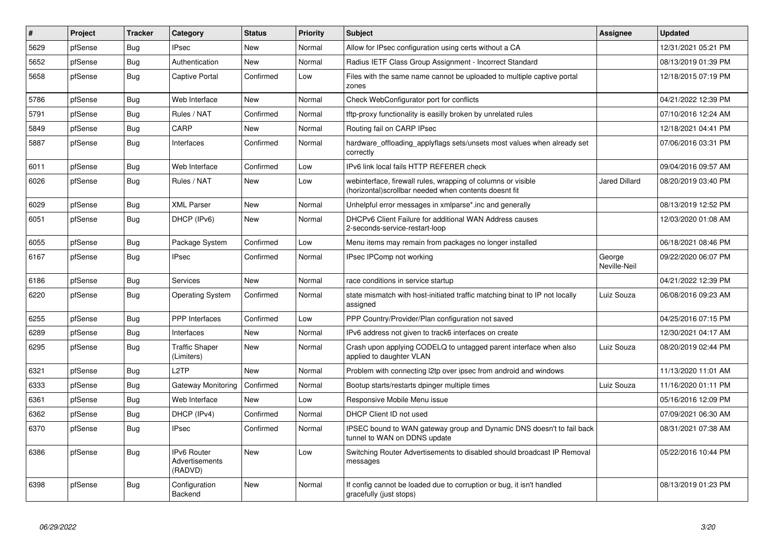| #    | Project | <b>Tracker</b> | Category                                        | <b>Status</b> | Priority | <b>Subject</b>                                                                                                         | <b>Assignee</b>        | <b>Updated</b>      |
|------|---------|----------------|-------------------------------------------------|---------------|----------|------------------------------------------------------------------------------------------------------------------------|------------------------|---------------------|
| 5629 | pfSense | Bug            | <b>IPsec</b>                                    | New           | Normal   | Allow for IPsec configuration using certs without a CA                                                                 |                        | 12/31/2021 05:21 PM |
| 5652 | pfSense | Bug            | Authentication                                  | <b>New</b>    | Normal   | Radius IETF Class Group Assignment - Incorrect Standard                                                                |                        | 08/13/2019 01:39 PM |
| 5658 | pfSense | <b>Bug</b>     | <b>Captive Portal</b>                           | Confirmed     | Low      | Files with the same name cannot be uploaded to multiple captive portal<br>zones                                        |                        | 12/18/2015 07:19 PM |
| 5786 | pfSense | <b>Bug</b>     | Web Interface                                   | <b>New</b>    | Normal   | Check WebConfigurator port for conflicts                                                                               |                        | 04/21/2022 12:39 PM |
| 5791 | pfSense | <b>Bug</b>     | Rules / NAT                                     | Confirmed     | Normal   | tftp-proxy functionality is easilly broken by unrelated rules                                                          |                        | 07/10/2016 12:24 AM |
| 5849 | pfSense | <b>Bug</b>     | CARP                                            | <b>New</b>    | Normal   | Routing fail on CARP IPsec                                                                                             |                        | 12/18/2021 04:41 PM |
| 5887 | pfSense | Bug            | Interfaces                                      | Confirmed     | Normal   | hardware offloading applyflags sets/unsets most values when already set<br>correctly                                   |                        | 07/06/2016 03:31 PM |
| 6011 | pfSense | Bug            | Web Interface                                   | Confirmed     | Low      | IPv6 link local fails HTTP REFERER check                                                                               |                        | 09/04/2016 09:57 AM |
| 6026 | pfSense | Bug            | Rules / NAT                                     | <b>New</b>    | Low      | webinterface, firewall rules, wrapping of columns or visible<br>(horizontal) scrollbar needed when contents doesnt fit | Jared Dillard          | 08/20/2019 03:40 PM |
| 6029 | pfSense | Bug            | <b>XML Parser</b>                               | <b>New</b>    | Normal   | Unhelpful error messages in xmlparse*.inc and generally                                                                |                        | 08/13/2019 12:52 PM |
| 6051 | pfSense | Bug            | DHCP (IPv6)                                     | <b>New</b>    | Normal   | DHCPv6 Client Failure for additional WAN Address causes<br>2-seconds-service-restart-loop                              |                        | 12/03/2020 01:08 AM |
| 6055 | pfSense | Bug            | Package System                                  | Confirmed     | Low      | Menu items may remain from packages no longer installed                                                                |                        | 06/18/2021 08:46 PM |
| 6167 | pfSense | Bug            | <b>IPsec</b>                                    | Confirmed     | Normal   | IPsec IPComp not working                                                                                               | George<br>Neville-Neil | 09/22/2020 06:07 PM |
| 6186 | pfSense | Bug            | Services                                        | New           | Normal   | race conditions in service startup                                                                                     |                        | 04/21/2022 12:39 PM |
| 6220 | pfSense | Bug            | <b>Operating System</b>                         | Confirmed     | Normal   | state mismatch with host-initiated traffic matching binat to IP not locally<br>assigned                                | Luiz Souza             | 06/08/2016 09:23 AM |
| 6255 | pfSense | Bug            | <b>PPP</b> Interfaces                           | Confirmed     | Low      | PPP Country/Provider/Plan configuration not saved                                                                      |                        | 04/25/2016 07:15 PM |
| 6289 | pfSense | Bug            | Interfaces                                      | <b>New</b>    | Normal   | IPv6 address not given to track6 interfaces on create                                                                  |                        | 12/30/2021 04:17 AM |
| 6295 | pfSense | <b>Bug</b>     | <b>Traffic Shaper</b><br>(Limiters)             | <b>New</b>    | Normal   | Crash upon applying CODELQ to untagged parent interface when also<br>applied to daughter VLAN                          | Luiz Souza             | 08/20/2019 02:44 PM |
| 6321 | pfSense | Bug            | L <sub>2</sub> TP                               | <b>New</b>    | Normal   | Problem with connecting I2tp over ipsec from android and windows                                                       |                        | 11/13/2020 11:01 AM |
| 6333 | pfSense | Bug            | Gateway Monitoring                              | Confirmed     | Normal   | Bootup starts/restarts dpinger multiple times                                                                          | Luiz Souza             | 11/16/2020 01:11 PM |
| 6361 | pfSense | Bug            | Web Interface                                   | <b>New</b>    | Low      | Responsive Mobile Menu issue                                                                                           |                        | 05/16/2016 12:09 PM |
| 6362 | pfSense | Bug            | DHCP (IPv4)                                     | Confirmed     | Normal   | DHCP Client ID not used                                                                                                |                        | 07/09/2021 06:30 AM |
| 6370 | pfSense | Bug            | <b>IPsec</b>                                    | Confirmed     | Normal   | IPSEC bound to WAN gateway group and Dynamic DNS doesn't to fail back<br>tunnel to WAN on DDNS update                  |                        | 08/31/2021 07:38 AM |
| 6386 | pfSense | Bug            | <b>IPv6 Router</b><br>Advertisements<br>(RADVD) | New           | Low      | Switching Router Advertisements to disabled should broadcast IP Removal<br>messages                                    |                        | 05/22/2016 10:44 PM |
| 6398 | pfSense | Bug            | Configuration<br>Backend                        | <b>New</b>    | Normal   | If config cannot be loaded due to corruption or bug, it isn't handled<br>gracefully (just stops)                       |                        | 08/13/2019 01:23 PM |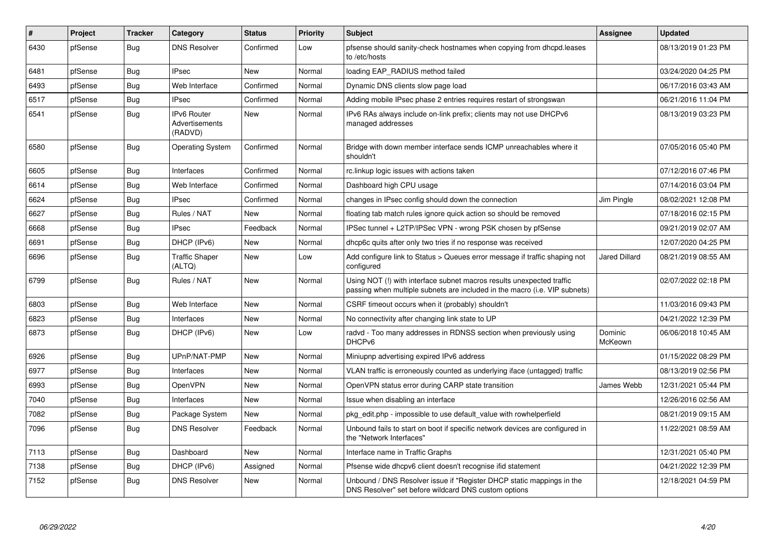| #    | Project | <b>Tracker</b> | Category                                        | <b>Status</b> | <b>Priority</b> | <b>Subject</b>                                                                                                                                      | Assignee           | <b>Updated</b>      |
|------|---------|----------------|-------------------------------------------------|---------------|-----------------|-----------------------------------------------------------------------------------------------------------------------------------------------------|--------------------|---------------------|
| 6430 | pfSense | Bug            | <b>DNS Resolver</b>                             | Confirmed     | Low             | pfsense should sanity-check hostnames when copying from dhopd. leases<br>to /etc/hosts                                                              |                    | 08/13/2019 01:23 PM |
| 6481 | pfSense | Bug            | <b>IPsec</b>                                    | <b>New</b>    | Normal          | loading EAP RADIUS method failed                                                                                                                    |                    | 03/24/2020 04:25 PM |
| 6493 | pfSense | Bug            | Web Interface                                   | Confirmed     | Normal          | Dynamic DNS clients slow page load                                                                                                                  |                    | 06/17/2016 03:43 AM |
| 6517 | pfSense | Bug            | <b>IPsec</b>                                    | Confirmed     | Normal          | Adding mobile IPsec phase 2 entries requires restart of strongswan                                                                                  |                    | 06/21/2016 11:04 PM |
| 6541 | pfSense | Bug            | <b>IPv6 Router</b><br>Advertisements<br>(RADVD) | New           | Normal          | IPv6 RAs always include on-link prefix; clients may not use DHCPv6<br>managed addresses                                                             |                    | 08/13/2019 03:23 PM |
| 6580 | pfSense | Bug            | <b>Operating System</b>                         | Confirmed     | Normal          | Bridge with down member interface sends ICMP unreachables where it<br>shouldn't                                                                     |                    | 07/05/2016 05:40 PM |
| 6605 | pfSense | Bug            | Interfaces                                      | Confirmed     | Normal          | rc.linkup logic issues with actions taken                                                                                                           |                    | 07/12/2016 07:46 PM |
| 6614 | pfSense | Bug            | Web Interface                                   | Confirmed     | Normal          | Dashboard high CPU usage                                                                                                                            |                    | 07/14/2016 03:04 PM |
| 6624 | pfSense | Bug            | <b>IPsec</b>                                    | Confirmed     | Normal          | changes in IPsec config should down the connection                                                                                                  | Jim Pingle         | 08/02/2021 12:08 PM |
| 6627 | pfSense | Bug            | Rules / NAT                                     | New           | Normal          | floating tab match rules ignore quick action so should be removed                                                                                   |                    | 07/18/2016 02:15 PM |
| 6668 | pfSense | Bug            | <b>IPsec</b>                                    | Feedback      | Normal          | IPSec tunnel + L2TP/IPSec VPN - wrong PSK chosen by pfSense                                                                                         |                    | 09/21/2019 02:07 AM |
| 6691 | pfSense | Bug            | DHCP (IPv6)                                     | <b>New</b>    | Normal          | dhcp6c quits after only two tries if no response was received                                                                                       |                    | 12/07/2020 04:25 PM |
| 6696 | pfSense | Bug            | <b>Traffic Shaper</b><br>(ALTQ)                 | New           | Low             | Add configure link to Status > Queues error message if traffic shaping not<br>configured                                                            | Jared Dillard      | 08/21/2019 08:55 AM |
| 6799 | pfSense | <b>Bug</b>     | Rules / NAT                                     | New           | Normal          | Using NOT (!) with interface subnet macros results unexpected traffic<br>passing when multiple subnets are included in the macro (i.e. VIP subnets) |                    | 02/07/2022 02:18 PM |
| 6803 | pfSense | Bug            | Web Interface                                   | <b>New</b>    | Normal          | CSRF timeout occurs when it (probably) shouldn't                                                                                                    |                    | 11/03/2016 09:43 PM |
| 6823 | pfSense | Bug            | Interfaces                                      | <b>New</b>    | Normal          | No connectivity after changing link state to UP                                                                                                     |                    | 04/21/2022 12:39 PM |
| 6873 | pfSense | Bug            | DHCP (IPv6)                                     | <b>New</b>    | Low             | radyd - Too many addresses in RDNSS section when previously using<br>DHCP <sub>v6</sub>                                                             | Dominic<br>McKeown | 06/06/2018 10:45 AM |
| 6926 | pfSense | Bug            | UPnP/NAT-PMP                                    | <b>New</b>    | Normal          | Miniupnp advertising expired IPv6 address                                                                                                           |                    | 01/15/2022 08:29 PM |
| 6977 | pfSense | <b>Bug</b>     | Interfaces                                      | <b>New</b>    | Normal          | VLAN traffic is erroneously counted as underlying iface (untagged) traffic                                                                          |                    | 08/13/2019 02:56 PM |
| 6993 | pfSense | Bug            | OpenVPN                                         | New           | Normal          | OpenVPN status error during CARP state transition                                                                                                   | James Webb         | 12/31/2021 05:44 PM |
| 7040 | pfSense | Bug            | Interfaces                                      | <b>New</b>    | Normal          | Issue when disabling an interface                                                                                                                   |                    | 12/26/2016 02:56 AM |
| 7082 | pfSense | Bug            | Package System                                  | <b>New</b>    | Normal          | pkg edit.php - impossible to use default value with rowhelperfield                                                                                  |                    | 08/21/2019 09:15 AM |
| 7096 | pfSense | Bug            | <b>DNS Resolver</b>                             | Feedback      | Normal          | Unbound fails to start on boot if specific network devices are configured in<br>the "Network Interfaces"                                            |                    | 11/22/2021 08:59 AM |
| 7113 | pfSense | Bug            | Dashboard                                       | <b>New</b>    | Normal          | Interface name in Traffic Graphs                                                                                                                    |                    | 12/31/2021 05:40 PM |
| 7138 | pfSense | <b>Bug</b>     | DHCP (IPv6)                                     | Assigned      | Normal          | Pfsense wide dhcpv6 client doesn't recognise if id statement                                                                                        |                    | 04/21/2022 12:39 PM |
| 7152 | pfSense | <b>Bug</b>     | <b>DNS Resolver</b>                             | New           | Normal          | Unbound / DNS Resolver issue if "Register DHCP static mappings in the<br>DNS Resolver" set before wildcard DNS custom options                       |                    | 12/18/2021 04:59 PM |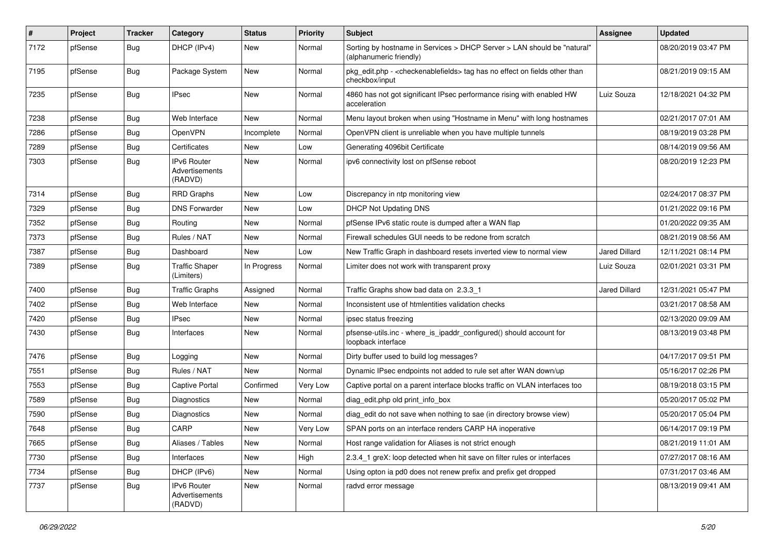| $\vert$ # | Project | <b>Tracker</b> | Category                                        | <b>Status</b> | <b>Priority</b> | <b>Subject</b>                                                                                                   | <b>Assignee</b>      | <b>Updated</b>      |
|-----------|---------|----------------|-------------------------------------------------|---------------|-----------------|------------------------------------------------------------------------------------------------------------------|----------------------|---------------------|
| 7172      | pfSense | Bug            | DHCP (IPv4)                                     | New           | Normal          | Sorting by hostname in Services > DHCP Server > LAN should be "natural"<br>(alphanumeric friendly)               |                      | 08/20/2019 03:47 PM |
| 7195      | pfSense | Bug            | Package System                                  | New           | Normal          | pkg_edit.php - <checkenablefields> tag has no effect on fields other than<br/>checkbox/input</checkenablefields> |                      | 08/21/2019 09:15 AM |
| 7235      | pfSense | <b>Bug</b>     | <b>IPsec</b>                                    | New           | Normal          | 4860 has not got significant IPsec performance rising with enabled HW<br>acceleration                            | Luiz Souza           | 12/18/2021 04:32 PM |
| 7238      | pfSense | Bug            | Web Interface                                   | New           | Normal          | Menu layout broken when using "Hostname in Menu" with long hostnames                                             |                      | 02/21/2017 07:01 AM |
| 7286      | pfSense | Bug            | OpenVPN                                         | Incomplete    | Normal          | OpenVPN client is unreliable when you have multiple tunnels                                                      |                      | 08/19/2019 03:28 PM |
| 7289      | pfSense | <b>Bug</b>     | Certificates                                    | New           | Low             | Generating 4096bit Certificate                                                                                   |                      | 08/14/2019 09:56 AM |
| 7303      | pfSense | Bug            | <b>IPv6 Router</b><br>Advertisements<br>(RADVD) | New           | Normal          | ipv6 connectivity lost on pfSense reboot                                                                         |                      | 08/20/2019 12:23 PM |
| 7314      | pfSense | Bug            | <b>RRD Graphs</b>                               | <b>New</b>    | Low             | Discrepancy in ntp monitoring view                                                                               |                      | 02/24/2017 08:37 PM |
| 7329      | pfSense | Bug            | <b>DNS Forwarder</b>                            | New           | Low             | <b>DHCP Not Updating DNS</b>                                                                                     |                      | 01/21/2022 09:16 PM |
| 7352      | pfSense | <b>Bug</b>     | Routing                                         | New           | Normal          | pfSense IPv6 static route is dumped after a WAN flap                                                             |                      | 01/20/2022 09:35 AM |
| 7373      | pfSense | Bug            | Rules / NAT                                     | <b>New</b>    | Normal          | Firewall schedules GUI needs to be redone from scratch                                                           |                      | 08/21/2019 08:56 AM |
| 7387      | pfSense | <b>Bug</b>     | Dashboard                                       | New           | Low             | New Traffic Graph in dashboard resets inverted view to normal view                                               | Jared Dillard        | 12/11/2021 08:14 PM |
| 7389      | pfSense | <b>Bug</b>     | <b>Traffic Shaper</b><br>(Limiters)             | In Progress   | Normal          | Limiter does not work with transparent proxy                                                                     | Luiz Souza           | 02/01/2021 03:31 PM |
| 7400      | pfSense | Bug            | <b>Traffic Graphs</b>                           | Assigned      | Normal          | Traffic Graphs show bad data on 2.3.3 1                                                                          | <b>Jared Dillard</b> | 12/31/2021 05:47 PM |
| 7402      | pfSense | <b>Bug</b>     | Web Interface                                   | New           | Normal          | Inconsistent use of htmlentities validation checks                                                               |                      | 03/21/2017 08:58 AM |
| 7420      | pfSense | <b>Bug</b>     | IPsec                                           | New           | Normal          | ipsec status freezing                                                                                            |                      | 02/13/2020 09:09 AM |
| 7430      | pfSense | <b>Bug</b>     | Interfaces                                      | New           | Normal          | pfsense-utils.inc - where_is_ipaddr_configured() should account for<br>loopback interface                        |                      | 08/13/2019 03:48 PM |
| 7476      | pfSense | Bug            | Logging                                         | New           | Normal          | Dirty buffer used to build log messages?                                                                         |                      | 04/17/2017 09:51 PM |
| 7551      | pfSense | Bug            | Rules / NAT                                     | New           | Normal          | Dynamic IPsec endpoints not added to rule set after WAN down/up                                                  |                      | 05/16/2017 02:26 PM |
| 7553      | pfSense | <b>Bug</b>     | <b>Captive Portal</b>                           | Confirmed     | Very Low        | Captive portal on a parent interface blocks traffic on VLAN interfaces too                                       |                      | 08/19/2018 03:15 PM |
| 7589      | pfSense | <b>Bug</b>     | Diagnostics                                     | New           | Normal          | diag_edit.php old print_info_box                                                                                 |                      | 05/20/2017 05:02 PM |
| 7590      | pfSense | Bug            | Diagnostics                                     | <b>New</b>    | Normal          | diag edit do not save when nothing to sae (in directory browse view)                                             |                      | 05/20/2017 05:04 PM |
| 7648      | pfSense | <b>Bug</b>     | CARP                                            | New           | Very Low        | SPAN ports on an interface renders CARP HA inoperative                                                           |                      | 06/14/2017 09:19 PM |
| 7665      | pfSense | Bug            | Aliases / Tables                                | New           | Normal          | Host range validation for Aliases is not strict enough                                                           |                      | 08/21/2019 11:01 AM |
| 7730      | pfSense | Bug            | Interfaces                                      | New           | High            | 2.3.4 1 greX: loop detected when hit save on filter rules or interfaces                                          |                      | 07/27/2017 08:16 AM |
| 7734      | pfSense | Bug            | DHCP (IPv6)                                     | New           | Normal          | Using opton ia pd0 does not renew prefix and prefix get dropped                                                  |                      | 07/31/2017 03:46 AM |
| 7737      | pfSense | <b>Bug</b>     | <b>IPv6 Router</b><br>Advertisements<br>(RADVD) | New           | Normal          | radvd error message                                                                                              |                      | 08/13/2019 09:41 AM |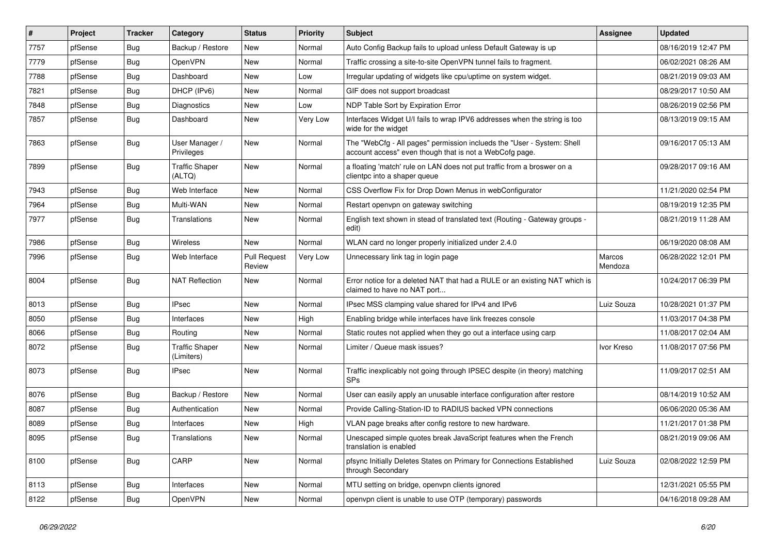| #    | Project | <b>Tracker</b> | Category                            | <b>Status</b>                 | <b>Priority</b> | <b>Subject</b>                                                                                                                    | Assignee          | <b>Updated</b>      |
|------|---------|----------------|-------------------------------------|-------------------------------|-----------------|-----------------------------------------------------------------------------------------------------------------------------------|-------------------|---------------------|
| 7757 | pfSense | Bug            | Backup / Restore                    | New                           | Normal          | Auto Config Backup fails to upload unless Default Gateway is up                                                                   |                   | 08/16/2019 12:47 PM |
| 7779 | pfSense | Bug            | OpenVPN                             | <b>New</b>                    | Normal          | Traffic crossing a site-to-site OpenVPN tunnel fails to fragment.                                                                 |                   | 06/02/2021 08:26 AM |
| 7788 | pfSense | Bug            | Dashboard                           | New                           | Low             | Irregular updating of widgets like cpu/uptime on system widget.                                                                   |                   | 08/21/2019 09:03 AM |
| 7821 | pfSense | Bug            | DHCP (IPv6)                         | New                           | Normal          | GIF does not support broadcast                                                                                                    |                   | 08/29/2017 10:50 AM |
| 7848 | pfSense | Bug            | Diagnostics                         | <b>New</b>                    | Low             | NDP Table Sort by Expiration Error                                                                                                |                   | 08/26/2019 02:56 PM |
| 7857 | pfSense | Bug            | Dashboard                           | New                           | Very Low        | Interfaces Widget U/I fails to wrap IPV6 addresses when the string is too<br>wide for the widget                                  |                   | 08/13/2019 09:15 AM |
| 7863 | pfSense | Bug            | User Manager /<br>Privileges        | New                           | Normal          | The "WebCfg - All pages" permission inclueds the "User - System: Shell<br>account access" even though that is not a WebCofg page. |                   | 09/16/2017 05:13 AM |
| 7899 | pfSense | Bug            | <b>Traffic Shaper</b><br>(ALTQ)     | <b>New</b>                    | Normal          | a floating 'match' rule on LAN does not put traffic from a broswer on a<br>clientpc into a shaper queue                           |                   | 09/28/2017 09:16 AM |
| 7943 | pfSense | Bug            | Web Interface                       | <b>New</b>                    | Normal          | CSS Overflow Fix for Drop Down Menus in webConfigurator                                                                           |                   | 11/21/2020 02:54 PM |
| 7964 | pfSense | Bug            | Multi-WAN                           | <b>New</b>                    | Normal          | Restart openvpn on gateway switching                                                                                              |                   | 08/19/2019 12:35 PM |
| 7977 | pfSense | Bug            | Translations                        | New                           | Normal          | English text shown in stead of translated text (Routing - Gateway groups -<br>edit)                                               |                   | 08/21/2019 11:28 AM |
| 7986 | pfSense | Bug            | Wireless                            | <b>New</b>                    | Normal          | WLAN card no longer properly initialized under 2.4.0                                                                              |                   | 06/19/2020 08:08 AM |
| 7996 | pfSense | Bug            | Web Interface                       | <b>Pull Request</b><br>Review | Very Low        | Unnecessary link tag in login page                                                                                                | Marcos<br>Mendoza | 06/28/2022 12:01 PM |
| 8004 | pfSense | Bug            | <b>NAT Reflection</b>               | New                           | Normal          | Error notice for a deleted NAT that had a RULE or an existing NAT which is<br>claimed to have no NAT port                         |                   | 10/24/2017 06:39 PM |
| 8013 | pfSense | Bug            | <b>IPsec</b>                        | <b>New</b>                    | Normal          | IPsec MSS clamping value shared for IPv4 and IPv6                                                                                 | Luiz Souza        | 10/28/2021 01:37 PM |
| 8050 | pfSense | <b>Bug</b>     | Interfaces                          | New                           | High            | Enabling bridge while interfaces have link freezes console                                                                        |                   | 11/03/2017 04:38 PM |
| 8066 | pfSense | Bug            | Routing                             | New                           | Normal          | Static routes not applied when they go out a interface using carp                                                                 |                   | 11/08/2017 02:04 AM |
| 8072 | pfSense | Bug            | <b>Traffic Shaper</b><br>(Limiters) | New                           | Normal          | Limiter / Queue mask issues?                                                                                                      | Ivor Kreso        | 11/08/2017 07:56 PM |
| 8073 | pfSense | Bug            | <b>IPsec</b>                        | <b>New</b>                    | Normal          | Traffic inexplicably not going through IPSEC despite (in theory) matching<br><b>SPs</b>                                           |                   | 11/09/2017 02:51 AM |
| 8076 | pfSense | Bug            | Backup / Restore                    | New                           | Normal          | User can easily apply an unusable interface configuration after restore                                                           |                   | 08/14/2019 10:52 AM |
| 8087 | pfSense | Bug            | Authentication                      | <b>New</b>                    | Normal          | Provide Calling-Station-ID to RADIUS backed VPN connections                                                                       |                   | 06/06/2020 05:36 AM |
| 8089 | pfSense | Bug            | Interfaces                          | New                           | High            | VLAN page breaks after config restore to new hardware.                                                                            |                   | 11/21/2017 01:38 PM |
| 8095 | pfSense | <b>Bug</b>     | Translations                        | New                           | Normal          | Unescaped simple quotes break JavaScript features when the French<br>translation is enabled                                       |                   | 08/21/2019 09:06 AM |
| 8100 | pfSense | <b>Bug</b>     | CARP                                | New                           | Normal          | pfsync Initially Deletes States on Primary for Connections Established<br>through Secondary                                       | Luiz Souza        | 02/08/2022 12:59 PM |
| 8113 | pfSense | Bug            | Interfaces                          | New                           | Normal          | MTU setting on bridge, openypn clients janored                                                                                    |                   | 12/31/2021 05:55 PM |
| 8122 | pfSense | Bug            | OpenVPN                             | New                           | Normal          | openvpn client is unable to use OTP (temporary) passwords                                                                         |                   | 04/16/2018 09:28 AM |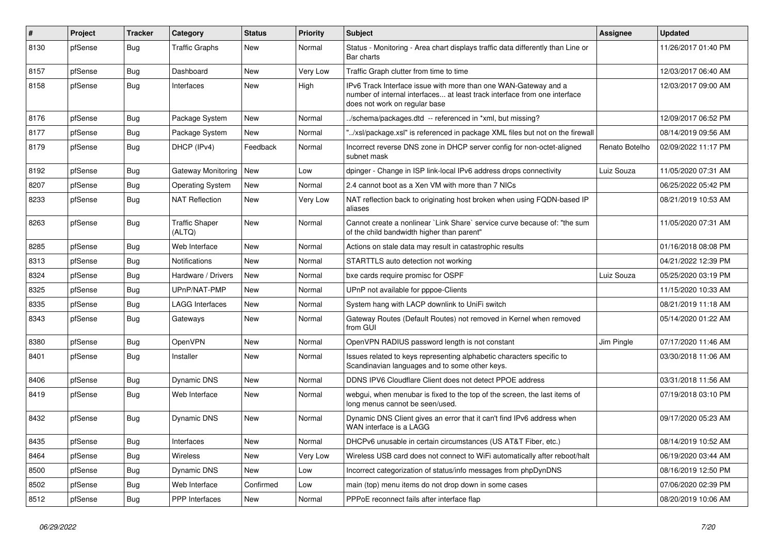| #    | Project | <b>Tracker</b> | Category                        | <b>Status</b> | Priority | <b>Subject</b>                                                                                                                                                                | Assignee       | <b>Updated</b>      |
|------|---------|----------------|---------------------------------|---------------|----------|-------------------------------------------------------------------------------------------------------------------------------------------------------------------------------|----------------|---------------------|
| 8130 | pfSense | Bug            | <b>Traffic Graphs</b>           | New           | Normal   | Status - Monitoring - Area chart displays traffic data differently than Line or<br>Bar charts                                                                                 |                | 11/26/2017 01:40 PM |
| 8157 | pfSense | Bug            | Dashboard                       | New           | Very Low | Traffic Graph clutter from time to time                                                                                                                                       |                | 12/03/2017 06:40 AM |
| 8158 | pfSense | Bug            | Interfaces                      | <b>New</b>    | High     | IPv6 Track Interface issue with more than one WAN-Gateway and a<br>number of internal interfaces at least track interface from one interface<br>does not work on regular base |                | 12/03/2017 09:00 AM |
| 8176 | pfSense | Bug            | Package System                  | <b>New</b>    | Normal   | ./schema/packages.dtd -- referenced in *xml, but missing?                                                                                                                     |                | 12/09/2017 06:52 PM |
| 8177 | pfSense | Bug            | Package System                  | <b>New</b>    | Normal   | /xsl/package.xsl" is referenced in package XML files but not on the firewall                                                                                                  |                | 08/14/2019 09:56 AM |
| 8179 | pfSense | <b>Bug</b>     | DHCP (IPv4)                     | Feedback      | Normal   | Incorrect reverse DNS zone in DHCP server config for non-octet-aligned<br>subnet mask                                                                                         | Renato Botelho | 02/09/2022 11:17 PM |
| 8192 | pfSense | Bug            | Gateway Monitoring              | New           | Low      | dpinger - Change in ISP link-local IPv6 address drops connectivity                                                                                                            | Luiz Souza     | 11/05/2020 07:31 AM |
| 8207 | pfSense | <b>Bug</b>     | <b>Operating System</b>         | New           | Normal   | 2.4 cannot boot as a Xen VM with more than 7 NICs                                                                                                                             |                | 06/25/2022 05:42 PM |
| 8233 | pfSense | Bug            | <b>NAT Reflection</b>           | <b>New</b>    | Very Low | NAT reflection back to originating host broken when using FQDN-based IP<br>aliases                                                                                            |                | 08/21/2019 10:53 AM |
| 8263 | pfSense | Bug            | <b>Traffic Shaper</b><br>(ALTQ) | <b>New</b>    | Normal   | Cannot create a nonlinear `Link Share` service curve because of: "the sum<br>of the child bandwidth higher than parent"                                                       |                | 11/05/2020 07:31 AM |
| 8285 | pfSense | Bug            | Web Interface                   | <b>New</b>    | Normal   | Actions on stale data may result in catastrophic results                                                                                                                      |                | 01/16/2018 08:08 PM |
| 8313 | pfSense | Bug            | <b>Notifications</b>            | <b>New</b>    | Normal   | STARTTLS auto detection not working                                                                                                                                           |                | 04/21/2022 12:39 PM |
| 8324 | pfSense | Bug            | Hardware / Drivers              | <b>New</b>    | Normal   | bxe cards require promisc for OSPF                                                                                                                                            | Luiz Souza     | 05/25/2020 03:19 PM |
| 8325 | pfSense | Bug            | UPnP/NAT-PMP                    | New           | Normal   | UPnP not available for pppoe-Clients                                                                                                                                          |                | 11/15/2020 10:33 AM |
| 8335 | pfSense | Bug            | <b>LAGG Interfaces</b>          | <b>New</b>    | Normal   | System hang with LACP downlink to UniFi switch                                                                                                                                |                | 08/21/2019 11:18 AM |
| 8343 | pfSense | Bug            | Gateways                        | New           | Normal   | Gateway Routes (Default Routes) not removed in Kernel when removed<br>from GUI                                                                                                |                | 05/14/2020 01:22 AM |
| 8380 | pfSense | Bug            | OpenVPN                         | <b>New</b>    | Normal   | OpenVPN RADIUS password length is not constant                                                                                                                                | Jim Pingle     | 07/17/2020 11:46 AM |
| 8401 | pfSense | Bug            | Installer                       | New           | Normal   | Issues related to keys representing alphabetic characters specific to<br>Scandinavian languages and to some other keys.                                                       |                | 03/30/2018 11:06 AM |
| 8406 | pfSense | Bug            | <b>Dynamic DNS</b>              | <b>New</b>    | Normal   | DDNS IPV6 Cloudflare Client does not detect PPOE address                                                                                                                      |                | 03/31/2018 11:56 AM |
| 8419 | pfSense | Bug            | Web Interface                   | New           | Normal   | webgui, when menubar is fixed to the top of the screen, the last items of<br>long menus cannot be seen/used.                                                                  |                | 07/19/2018 03:10 PM |
| 8432 | pfSense | Bug            | Dynamic DNS                     | New           | Normal   | Dynamic DNS Client gives an error that it can't find IPv6 address when<br>WAN interface is a LAGG                                                                             |                | 09/17/2020 05:23 AM |
| 8435 | pfSense | Bug            | Interfaces                      | New           | Normal   | DHCPv6 unusable in certain circumstances (US AT&T Fiber, etc.)                                                                                                                |                | 08/14/2019 10:52 AM |
| 8464 | pfSense | Bug            | Wireless                        | New           | Very Low | Wireless USB card does not connect to WiFi automatically after reboot/halt                                                                                                    |                | 06/19/2020 03:44 AM |
| 8500 | pfSense | Bug            | Dynamic DNS                     | New           | Low      | Incorrect categorization of status/info messages from phpDynDNS                                                                                                               |                | 08/16/2019 12:50 PM |
| 8502 | pfSense | Bug            | Web Interface                   | Confirmed     | Low      | main (top) menu items do not drop down in some cases                                                                                                                          |                | 07/06/2020 02:39 PM |
| 8512 | pfSense | <b>Bug</b>     | PPP Interfaces                  | New           | Normal   | PPPoE reconnect fails after interface flap                                                                                                                                    |                | 08/20/2019 10:06 AM |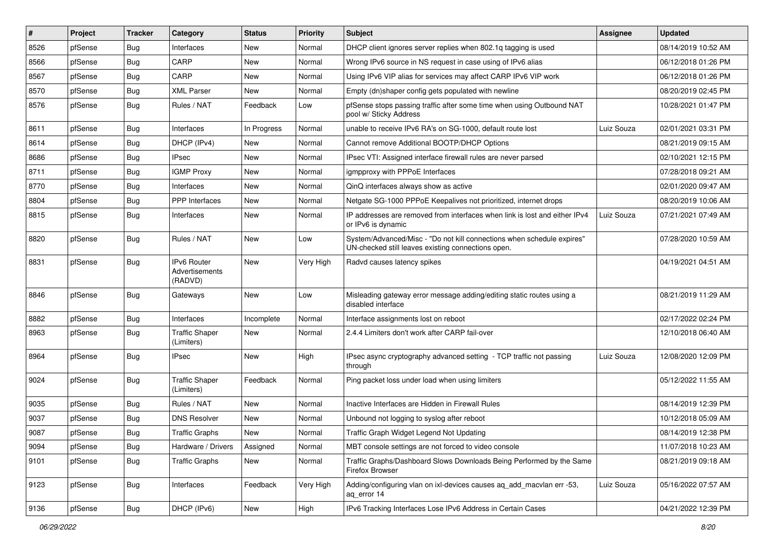| #    | Project | <b>Tracker</b> | Category                                        | <b>Status</b> | <b>Priority</b> | <b>Subject</b>                                                                                                               | <b>Assignee</b> | <b>Updated</b>      |
|------|---------|----------------|-------------------------------------------------|---------------|-----------------|------------------------------------------------------------------------------------------------------------------------------|-----------------|---------------------|
| 8526 | pfSense | Bug            | Interfaces                                      | New           | Normal          | DHCP client ignores server replies when 802.1q tagging is used                                                               |                 | 08/14/2019 10:52 AM |
| 8566 | pfSense | Bug            | CARP                                            | <b>New</b>    | Normal          | Wrong IPv6 source in NS request in case using of IPv6 alias                                                                  |                 | 06/12/2018 01:26 PM |
| 8567 | pfSense | Bug            | CARP                                            | New           | Normal          | Using IPv6 VIP alias for services may affect CARP IPv6 VIP work                                                              |                 | 06/12/2018 01:26 PM |
| 8570 | pfSense | Bug            | <b>XML Parser</b>                               | New           | Normal          | Empty (dn)shaper config gets populated with newline                                                                          |                 | 08/20/2019 02:45 PM |
| 8576 | pfSense | Bug            | Rules / NAT                                     | Feedback      | Low             | pfSense stops passing traffic after some time when using Outbound NAT<br>pool w/ Sticky Address                              |                 | 10/28/2021 01:47 PM |
| 8611 | pfSense | Bug            | Interfaces                                      | In Progress   | Normal          | unable to receive IPv6 RA's on SG-1000, default route lost                                                                   | Luiz Souza      | 02/01/2021 03:31 PM |
| 8614 | pfSense | <b>Bug</b>     | DHCP (IPv4)                                     | New           | Normal          | Cannot remove Additional BOOTP/DHCP Options                                                                                  |                 | 08/21/2019 09:15 AM |
| 8686 | pfSense | Bug            | <b>IPsec</b>                                    | <b>New</b>    | Normal          | IPsec VTI: Assigned interface firewall rules are never parsed                                                                |                 | 02/10/2021 12:15 PM |
| 8711 | pfSense | Bug            | <b>IGMP Proxy</b>                               | <b>New</b>    | Normal          | igmpproxy with PPPoE Interfaces                                                                                              |                 | 07/28/2018 09:21 AM |
| 8770 | pfSense | Bug            | Interfaces                                      | New           | Normal          | QinQ interfaces always show as active                                                                                        |                 | 02/01/2020 09:47 AM |
| 8804 | pfSense | Bug            | <b>PPP</b> Interfaces                           | New           | Normal          | Netgate SG-1000 PPPoE Keepalives not prioritized, internet drops                                                             |                 | 08/20/2019 10:06 AM |
| 8815 | pfSense | Bug            | Interfaces                                      | New           | Normal          | IP addresses are removed from interfaces when link is lost and either IPv4<br>or IPv6 is dynamic                             | Luiz Souza      | 07/21/2021 07:49 AM |
| 8820 | pfSense | Bug            | Rules / NAT                                     | <b>New</b>    | Low             | System/Advanced/Misc - "Do not kill connections when schedule expires"<br>UN-checked still leaves existing connections open. |                 | 07/28/2020 10:59 AM |
| 8831 | pfSense | Bug            | <b>IPv6 Router</b><br>Advertisements<br>(RADVD) | <b>New</b>    | Very High       | Radvd causes latency spikes                                                                                                  |                 | 04/19/2021 04:51 AM |
| 8846 | pfSense | Bug            | Gateways                                        | <b>New</b>    | Low             | Misleading gateway error message adding/editing static routes using a<br>disabled interface                                  |                 | 08/21/2019 11:29 AM |
| 8882 | pfSense | Bug            | Interfaces                                      | Incomplete    | Normal          | Interface assignments lost on reboot                                                                                         |                 | 02/17/2022 02:24 PM |
| 8963 | pfSense | Bug            | <b>Traffic Shaper</b><br>(Limiters)             | New           | Normal          | 2.4.4 Limiters don't work after CARP fail-over                                                                               |                 | 12/10/2018 06:40 AM |
| 8964 | pfSense | Bug            | <b>IPsec</b>                                    | New           | High            | IPsec async cryptography advanced setting - TCP traffic not passing<br>through                                               | Luiz Souza      | 12/08/2020 12:09 PM |
| 9024 | pfSense | Bug            | <b>Traffic Shaper</b><br>(Limiters)             | Feedback      | Normal          | Ping packet loss under load when using limiters                                                                              |                 | 05/12/2022 11:55 AM |
| 9035 | pfSense | Bug            | Rules / NAT                                     | <b>New</b>    | Normal          | Inactive Interfaces are Hidden in Firewall Rules                                                                             |                 | 08/14/2019 12:39 PM |
| 9037 | pfSense | <b>Bug</b>     | <b>DNS Resolver</b>                             | New           | Normal          | Unbound not logging to syslog after reboot                                                                                   |                 | 10/12/2018 05:09 AM |
| 9087 | pfSense | <b>Bug</b>     | <b>Traffic Graphs</b>                           | New           | Normal          | Traffic Graph Widget Legend Not Updating                                                                                     |                 | 08/14/2019 12:38 PM |
| 9094 | pfSense | Bug            | Hardware / Drivers                              | Assigned      | Normal          | MBT console settings are not forced to video console                                                                         |                 | 11/07/2018 10:23 AM |
| 9101 | pfSense | Bug            | <b>Traffic Graphs</b>                           | New           | Normal          | Traffic Graphs/Dashboard Slows Downloads Being Performed by the Same<br>Firefox Browser                                      |                 | 08/21/2019 09:18 AM |
| 9123 | pfSense | Bug            | Interfaces                                      | Feedback      | Very High       | Adding/configuring vlan on ixl-devices causes ag add macvlan err -53,<br>aq_error 14                                         | Luiz Souza      | 05/16/2022 07:57 AM |
| 9136 | pfSense | <b>Bug</b>     | DHCP (IPv6)                                     | New           | High            | IPv6 Tracking Interfaces Lose IPv6 Address in Certain Cases                                                                  |                 | 04/21/2022 12:39 PM |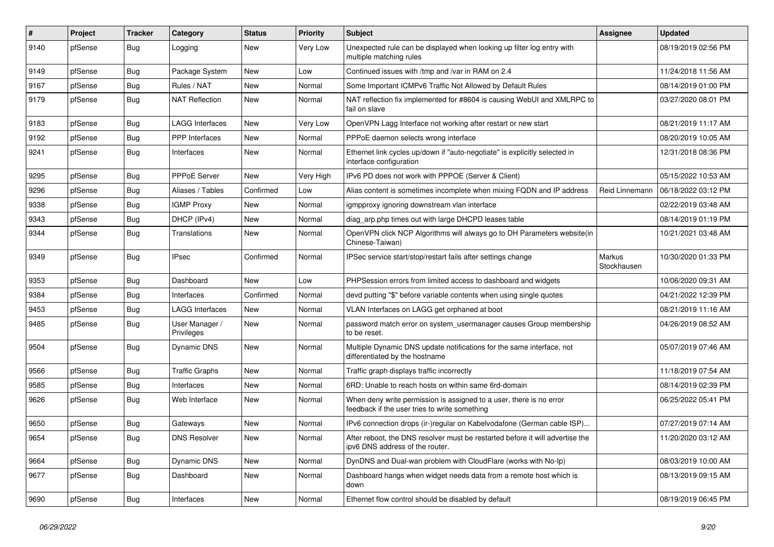| ∦    | Project | <b>Tracker</b> | Category                     | <b>Status</b> | <b>Priority</b> | <b>Subject</b>                                                                                                       | <b>Assignee</b>       | <b>Updated</b>      |
|------|---------|----------------|------------------------------|---------------|-----------------|----------------------------------------------------------------------------------------------------------------------|-----------------------|---------------------|
| 9140 | pfSense | Bug            | Logging                      | New           | Very Low        | Unexpected rule can be displayed when looking up filter log entry with<br>multiple matching rules                    |                       | 08/19/2019 02:56 PM |
| 9149 | pfSense | Bug            | Package System               | New           | Low             | Continued issues with /tmp and /var in RAM on 2.4                                                                    |                       | 11/24/2018 11:56 AM |
| 9167 | pfSense | <b>Bug</b>     | Rules / NAT                  | New           | Normal          | Some Important ICMPv6 Traffic Not Allowed by Default Rules                                                           |                       | 08/14/2019 01:00 PM |
| 9179 | pfSense | Bug            | <b>NAT Reflection</b>        | <b>New</b>    | Normal          | NAT reflection fix implemented for #8604 is causing WebUI and XMLRPC to<br>fail on slave                             |                       | 03/27/2020 08:01 PM |
| 9183 | pfSense | Bug            | <b>LAGG Interfaces</b>       | New           | Very Low        | OpenVPN Lagg Interface not working after restart or new start                                                        |                       | 08/21/2019 11:17 AM |
| 9192 | pfSense | <b>Bug</b>     | PPP Interfaces               | <b>New</b>    | Normal          | PPPoE daemon selects wrong interface                                                                                 |                       | 08/20/2019 10:05 AM |
| 9241 | pfSense | <b>Bug</b>     | Interfaces                   | New           | Normal          | Ethernet link cycles up/down if "auto-negotiate" is explicitly selected in<br>interface configuration                |                       | 12/31/2018 08:36 PM |
| 9295 | pfSense | Bug            | PPPoE Server                 | New           | Very High       | IPv6 PD does not work with PPPOE (Server & Client)                                                                   |                       | 05/15/2022 10:53 AM |
| 9296 | pfSense | <b>Bug</b>     | Aliases / Tables             | Confirmed     | Low             | Alias content is sometimes incomplete when mixing FQDN and IP address                                                | Reid Linnemann        | 06/18/2022 03:12 PM |
| 9338 | pfSense | <b>Bug</b>     | <b>IGMP Proxy</b>            | <b>New</b>    | Normal          | igmpproxy ignoring downstream vlan interface                                                                         |                       | 02/22/2019 03:48 AM |
| 9343 | pfSense | <b>Bug</b>     | DHCP (IPv4)                  | New           | Normal          | diag_arp.php times out with large DHCPD leases table                                                                 |                       | 08/14/2019 01:19 PM |
| 9344 | pfSense | <b>Bug</b>     | Translations                 | New           | Normal          | OpenVPN click NCP Algorithms will always go to DH Parameters website(in<br>Chinese-Taiwan)                           |                       | 10/21/2021 03:48 AM |
| 9349 | pfSense | Bug            | <b>IPsec</b>                 | Confirmed     | Normal          | IPSec service start/stop/restart fails after settings change                                                         | Markus<br>Stockhausen | 10/30/2020 01:33 PM |
| 9353 | pfSense | <b>Bug</b>     | Dashboard                    | New           | Low             | PHPSession errors from limited access to dashboard and widgets                                                       |                       | 10/06/2020 09:31 AM |
| 9384 | pfSense | <b>Bug</b>     | Interfaces                   | Confirmed     | Normal          | devd putting "\$" before variable contents when using single quotes                                                  |                       | 04/21/2022 12:39 PM |
| 9453 | pfSense | Bug            | <b>LAGG Interfaces</b>       | <b>New</b>    | Normal          | VLAN Interfaces on LAGG get orphaned at boot                                                                         |                       | 08/21/2019 11:16 AM |
| 9485 | pfSense | <b>Bug</b>     | User Manager /<br>Privileges | New           | Normal          | password match error on system_usermanager causes Group membership<br>to be reset.                                   |                       | 04/26/2019 08:52 AM |
| 9504 | pfSense | Bug            | Dynamic DNS                  | <b>New</b>    | Normal          | Multiple Dynamic DNS update notifications for the same interface, not<br>differentiated by the hostname              |                       | 05/07/2019 07:46 AM |
| 9566 | pfSense | <b>Bug</b>     | <b>Traffic Graphs</b>        | New           | Normal          | Traffic graph displays traffic incorrectly                                                                           |                       | 11/18/2019 07:54 AM |
| 9585 | pfSense | <b>Bug</b>     | Interfaces                   | New           | Normal          | 6RD: Unable to reach hosts on within same 6rd-domain                                                                 |                       | 08/14/2019 02:39 PM |
| 9626 | pfSense | <b>Bug</b>     | Web Interface                | New           | Normal          | When deny write permission is assigned to a user, there is no error<br>feedback if the user tries to write something |                       | 06/25/2022 05:41 PM |
| 9650 | pfSense | <b>Bug</b>     | Gateways                     | New           | Normal          | IPv6 connection drops (ir-)regular on Kabelvodafone (German cable ISP)                                               |                       | 07/27/2019 07:14 AM |
| 9654 | pfSense | <b>Bug</b>     | <b>DNS Resolver</b>          | New           | Normal          | After reboot, the DNS resolver must be restarted before it will advertise the<br>ipv6 DNS address of the router.     |                       | 11/20/2020 03:12 AM |
| 9664 | pfSense | Bug            | Dynamic DNS                  | New           | Normal          | DynDNS and Dual-wan problem with CloudFlare (works with No-Ip)                                                       |                       | 08/03/2019 10:00 AM |
| 9677 | pfSense | Bug            | Dashboard                    | New           | Normal          | Dashboard hangs when widget needs data from a remote host which is<br>down                                           |                       | 08/13/2019 09:15 AM |
| 9690 | pfSense | Bug            | Interfaces                   | New           | Normal          | Ethernet flow control should be disabled by default                                                                  |                       | 08/19/2019 06:45 PM |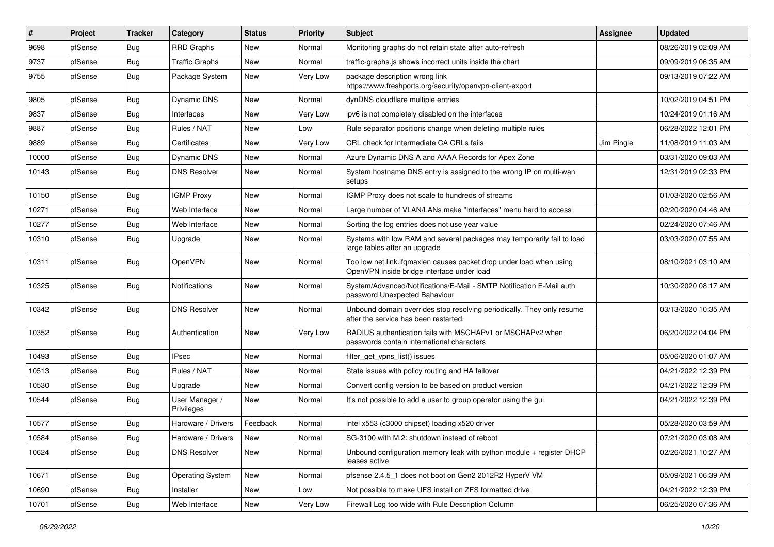| ∦     | Project | <b>Tracker</b> | Category                     | <b>Status</b> | <b>Priority</b> | <b>Subject</b>                                                                                                    | <b>Assignee</b> | <b>Updated</b>      |
|-------|---------|----------------|------------------------------|---------------|-----------------|-------------------------------------------------------------------------------------------------------------------|-----------------|---------------------|
| 9698  | pfSense | Bug            | <b>RRD Graphs</b>            | <b>New</b>    | Normal          | Monitoring graphs do not retain state after auto-refresh                                                          |                 | 08/26/2019 02:09 AM |
| 9737  | pfSense | Bug            | <b>Traffic Graphs</b>        | <b>New</b>    | Normal          | traffic-graphs.js shows incorrect units inside the chart                                                          |                 | 09/09/2019 06:35 AM |
| 9755  | pfSense | Bug            | Package System               | New           | Very Low        | package description wrong link<br>https://www.freshports.org/security/openvpn-client-export                       |                 | 09/13/2019 07:22 AM |
| 9805  | pfSense | Bug            | Dynamic DNS                  | <b>New</b>    | Normal          | dynDNS cloudflare multiple entries                                                                                |                 | 10/02/2019 04:51 PM |
| 9837  | pfSense | <b>Bug</b>     | Interfaces                   | <b>New</b>    | Very Low        | ipv6 is not completely disabled on the interfaces                                                                 |                 | 10/24/2019 01:16 AM |
| 9887  | pfSense | <b>Bug</b>     | Rules / NAT                  | New           | Low             | Rule separator positions change when deleting multiple rules                                                      |                 | 06/28/2022 12:01 PM |
| 9889  | pfSense | Bug            | Certificates                 | New           | Very Low        | CRL check for Intermediate CA CRLs fails                                                                          | Jim Pingle      | 11/08/2019 11:03 AM |
| 10000 | pfSense | <b>Bug</b>     | Dynamic DNS                  | <b>New</b>    | Normal          | Azure Dynamic DNS A and AAAA Records for Apex Zone                                                                |                 | 03/31/2020 09:03 AM |
| 10143 | pfSense | Bug            | <b>DNS Resolver</b>          | New           | Normal          | System hostname DNS entry is assigned to the wrong IP on multi-wan<br>setups                                      |                 | 12/31/2019 02:33 PM |
| 10150 | pfSense | Bug            | <b>IGMP Proxy</b>            | New           | Normal          | IGMP Proxy does not scale to hundreds of streams                                                                  |                 | 01/03/2020 02:56 AM |
| 10271 | pfSense | Bug            | Web Interface                | <b>New</b>    | Normal          | Large number of VLAN/LANs make "Interfaces" menu hard to access                                                   |                 | 02/20/2020 04:46 AM |
| 10277 | pfSense | <b>Bug</b>     | Web Interface                | New           | Normal          | Sorting the log entries does not use year value                                                                   |                 | 02/24/2020 07:46 AM |
| 10310 | pfSense | Bug            | Upgrade                      | New           | Normal          | Systems with low RAM and several packages may temporarily fail to load<br>large tables after an upgrade           |                 | 03/03/2020 07:55 AM |
| 10311 | pfSense | Bug            | OpenVPN                      | <b>New</b>    | Normal          | Too low net.link.ifqmaxlen causes packet drop under load when using<br>OpenVPN inside bridge interface under load |                 | 08/10/2021 03:10 AM |
| 10325 | pfSense | Bug            | <b>Notifications</b>         | New           | Normal          | System/Advanced/Notifications/E-Mail - SMTP Notification E-Mail auth<br>password Unexpected Bahaviour             |                 | 10/30/2020 08:17 AM |
| 10342 | pfSense | Bug            | <b>DNS Resolver</b>          | <b>New</b>    | Normal          | Unbound domain overrides stop resolving periodically. They only resume<br>after the service has been restarted.   |                 | 03/13/2020 10:35 AM |
| 10352 | pfSense | Bug            | Authentication               | New           | Very Low        | RADIUS authentication fails with MSCHAPv1 or MSCHAPv2 when<br>passwords contain international characters          |                 | 06/20/2022 04:04 PM |
| 10493 | pfSense | Bug            | IPsec                        | New           | Normal          | filter_get_vpns_list() issues                                                                                     |                 | 05/06/2020 01:07 AM |
| 10513 | pfSense | <b>Bug</b>     | Rules / NAT                  | New           | Normal          | State issues with policy routing and HA failover                                                                  |                 | 04/21/2022 12:39 PM |
| 10530 | pfSense | Bug            | Upgrade                      | New           | Normal          | Convert config version to be based on product version                                                             |                 | 04/21/2022 12:39 PM |
| 10544 | pfSense | <b>Bug</b>     | User Manager /<br>Privileges | New           | Normal          | It's not possible to add a user to group operator using the gui                                                   |                 | 04/21/2022 12:39 PM |
| 10577 | pfSense | <b>Bug</b>     | Hardware / Drivers           | Feedback      | Normal          | intel x553 (c3000 chipset) loading x520 driver                                                                    |                 | 05/28/2020 03:59 AM |
| 10584 | pfSense | <b>Bug</b>     | Hardware / Drivers           | New           | Normal          | SG-3100 with M.2: shutdown instead of reboot                                                                      |                 | 07/21/2020 03:08 AM |
| 10624 | pfSense | Bug            | <b>DNS Resolver</b>          | New           | Normal          | Unbound configuration memory leak with python module + register DHCP<br>leases active                             |                 | 02/26/2021 10:27 AM |
| 10671 | pfSense | Bug            | Operating System             | New           | Normal          | pfsense 2.4.5_1 does not boot on Gen2 2012R2 HyperV VM                                                            |                 | 05/09/2021 06:39 AM |
| 10690 | pfSense | Bug            | Installer                    | New           | Low             | Not possible to make UFS install on ZFS formatted drive                                                           |                 | 04/21/2022 12:39 PM |
| 10701 | pfSense | Bug            | Web Interface                | New           | Very Low        | Firewall Log too wide with Rule Description Column                                                                |                 | 06/25/2020 07:36 AM |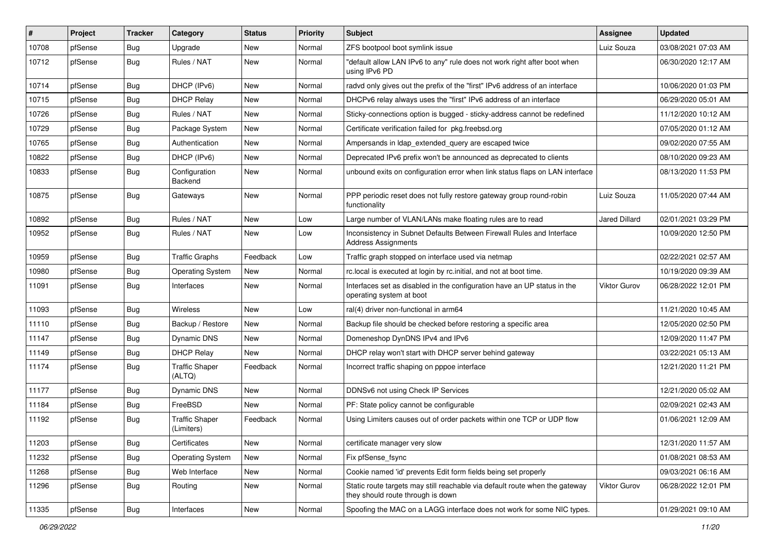| $\vert$ # | Project | <b>Tracker</b> | Category                            | <b>Status</b> | <b>Priority</b> | <b>Subject</b>                                                                                                   | <b>Assignee</b>      | <b>Updated</b>      |
|-----------|---------|----------------|-------------------------------------|---------------|-----------------|------------------------------------------------------------------------------------------------------------------|----------------------|---------------------|
| 10708     | pfSense | <b>Bug</b>     | Upgrade                             | New           | Normal          | ZFS bootpool boot symlink issue                                                                                  | Luiz Souza           | 03/08/2021 07:03 AM |
| 10712     | pfSense | Bug            | Rules / NAT                         | New           | Normal          | "default allow LAN IPv6 to any" rule does not work right after boot when<br>using IPv6 PD                        |                      | 06/30/2020 12:17 AM |
| 10714     | pfSense | Bug            | DHCP (IPv6)                         | <b>New</b>    | Normal          | radvd only gives out the prefix of the "first" IPv6 address of an interface                                      |                      | 10/06/2020 01:03 PM |
| 10715     | pfSense | Bug            | <b>DHCP Relay</b>                   | <b>New</b>    | Normal          | DHCPv6 relay always uses the "first" IPv6 address of an interface                                                |                      | 06/29/2020 05:01 AM |
| 10726     | pfSense | Bug            | Rules / NAT                         | <b>New</b>    | Normal          | Sticky-connections option is bugged - sticky-address cannot be redefined                                         |                      | 11/12/2020 10:12 AM |
| 10729     | pfSense | Bug            | Package System                      | New           | Normal          | Certificate verification failed for pkg.freebsd.org                                                              |                      | 07/05/2020 01:12 AM |
| 10765     | pfSense | Bug            | Authentication                      | <b>New</b>    | Normal          | Ampersands in Idap_extended_query are escaped twice                                                              |                      | 09/02/2020 07:55 AM |
| 10822     | pfSense | Bug            | DHCP (IPv6)                         | <b>New</b>    | Normal          | Deprecated IPv6 prefix won't be announced as deprecated to clients                                               |                      | 08/10/2020 09:23 AM |
| 10833     | pfSense | Bug            | Configuration<br>Backend            | <b>New</b>    | Normal          | unbound exits on configuration error when link status flaps on LAN interface                                     |                      | 08/13/2020 11:53 PM |
| 10875     | pfSense | Bug            | Gateways                            | <b>New</b>    | Normal          | PPP periodic reset does not fully restore gateway group round-robin<br>functionality                             | Luiz Souza           | 11/05/2020 07:44 AM |
| 10892     | pfSense | Bug            | Rules / NAT                         | New           | Low             | Large number of VLAN/LANs make floating rules are to read                                                        | <b>Jared Dillard</b> | 02/01/2021 03:29 PM |
| 10952     | pfSense | Bug            | Rules / NAT                         | New           | Low             | Inconsistency in Subnet Defaults Between Firewall Rules and Interface<br><b>Address Assignments</b>              |                      | 10/09/2020 12:50 PM |
| 10959     | pfSense | Bug            | <b>Traffic Graphs</b>               | Feedback      | Low             | Traffic graph stopped on interface used via netmap                                                               |                      | 02/22/2021 02:57 AM |
| 10980     | pfSense | Bug            | <b>Operating System</b>             | <b>New</b>    | Normal          | rc.local is executed at login by rc.initial, and not at boot time.                                               |                      | 10/19/2020 09:39 AM |
| 11091     | pfSense | Bug            | Interfaces                          | <b>New</b>    | Normal          | Interfaces set as disabled in the configuration have an UP status in the<br>operating system at boot             | Viktor Gurov         | 06/28/2022 12:01 PM |
| 11093     | pfSense | Bug            | Wireless                            | New           | Low             | ral(4) driver non-functional in arm64                                                                            |                      | 11/21/2020 10:45 AM |
| 11110     | pfSense | <b>Bug</b>     | Backup / Restore                    | New           | Normal          | Backup file should be checked before restoring a specific area                                                   |                      | 12/05/2020 02:50 PM |
| 11147     | pfSense | Bug            | Dynamic DNS                         | New           | Normal          | Domeneshop DynDNS IPv4 and IPv6                                                                                  |                      | 12/09/2020 11:47 PM |
| 11149     | pfSense | Bug            | <b>DHCP Relay</b>                   | <b>New</b>    | Normal          | DHCP relay won't start with DHCP server behind gateway                                                           |                      | 03/22/2021 05:13 AM |
| 11174     | pfSense | Bug            | <b>Traffic Shaper</b><br>(ALTQ)     | Feedback      | Normal          | Incorrect traffic shaping on pppoe interface                                                                     |                      | 12/21/2020 11:21 PM |
| 11177     | pfSense | Bug            | Dynamic DNS                         | <b>New</b>    | Normal          | DDNSv6 not using Check IP Services                                                                               |                      | 12/21/2020 05:02 AM |
| 11184     | pfSense | Bug            | FreeBSD                             | New           | Normal          | PF: State policy cannot be configurable                                                                          |                      | 02/09/2021 02:43 AM |
| 11192     | pfSense | Bug            | <b>Traffic Shaper</b><br>(Limiters) | Feedback      | Normal          | Using Limiters causes out of order packets within one TCP or UDP flow                                            |                      | 01/06/2021 12:09 AM |
| 11203     | pfSense | Bug            | Certificates                        | New           | Normal          | certificate manager very slow                                                                                    |                      | 12/31/2020 11:57 AM |
| 11232     | pfSense | Bug            | <b>Operating System</b>             | <b>New</b>    | Normal          | Fix pfSense_fsync                                                                                                |                      | 01/08/2021 08:53 AM |
| 11268     | pfSense | Bug            | Web Interface                       | New           | Normal          | Cookie named 'id' prevents Edit form fields being set properly                                                   |                      | 09/03/2021 06:16 AM |
| 11296     | pfSense | Bug            | Routing                             | New           | Normal          | Static route targets may still reachable via default route when the gateway<br>they should route through is down | <b>Viktor Gurov</b>  | 06/28/2022 12:01 PM |
| 11335     | pfSense | <b>Bug</b>     | Interfaces                          | New           | Normal          | Spoofing the MAC on a LAGG interface does not work for some NIC types.                                           |                      | 01/29/2021 09:10 AM |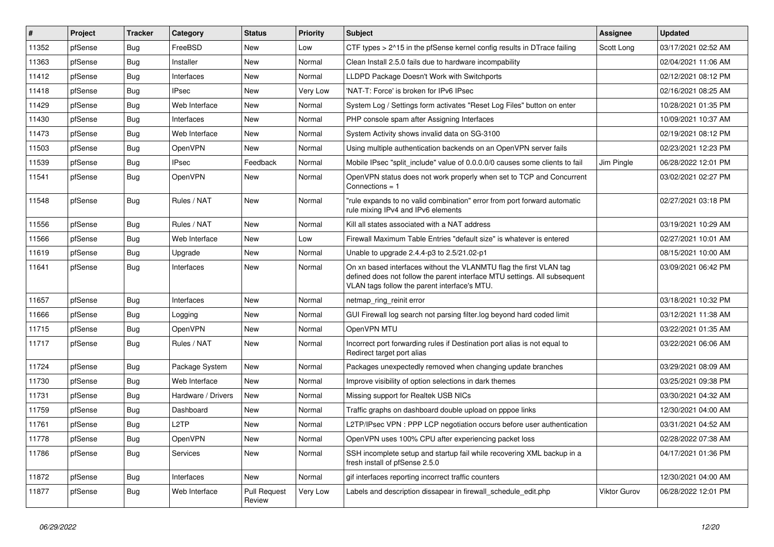| $\vert$ # | Project | <b>Tracker</b> | Category           | <b>Status</b>                 | <b>Priority</b> | <b>Subject</b>                                                                                                                                                                                  | <b>Assignee</b>     | <b>Updated</b>      |
|-----------|---------|----------------|--------------------|-------------------------------|-----------------|-------------------------------------------------------------------------------------------------------------------------------------------------------------------------------------------------|---------------------|---------------------|
| 11352     | pfSense | Bug            | FreeBSD            | New                           | Low             | CTF types $> 215$ in the pfSense kernel config results in DTrace failing                                                                                                                        | Scott Long          | 03/17/2021 02:52 AM |
| 11363     | pfSense | Bug            | Installer          | <b>New</b>                    | Normal          | Clean Install 2.5.0 fails due to hardware incompability                                                                                                                                         |                     | 02/04/2021 11:06 AM |
| 11412     | pfSense | Bug            | Interfaces         | New                           | Normal          | LLDPD Package Doesn't Work with Switchports                                                                                                                                                     |                     | 02/12/2021 08:12 PM |
| 11418     | pfSense | <b>Bug</b>     | <b>IPsec</b>       | <b>New</b>                    | Very Low        | 'NAT-T: Force' is broken for IPv6 IPsec                                                                                                                                                         |                     | 02/16/2021 08:25 AM |
| 11429     | pfSense | Bug            | Web Interface      | <b>New</b>                    | Normal          | System Log / Settings form activates "Reset Log Files" button on enter                                                                                                                          |                     | 10/28/2021 01:35 PM |
| 11430     | pfSense | <b>Bug</b>     | Interfaces         | New                           | Normal          | PHP console spam after Assigning Interfaces                                                                                                                                                     |                     | 10/09/2021 10:37 AM |
| 11473     | pfSense | Bug            | Web Interface      | New                           | Normal          | System Activity shows invalid data on SG-3100                                                                                                                                                   |                     | 02/19/2021 08:12 PM |
| 11503     | pfSense | <b>Bug</b>     | OpenVPN            | New                           | Normal          | Using multiple authentication backends on an OpenVPN server fails                                                                                                                               |                     | 02/23/2021 12:23 PM |
| 11539     | pfSense | Bug            | <b>IPsec</b>       | Feedback                      | Normal          | Mobile IPsec "split include" value of 0.0.0.0/0 causes some clients to fail                                                                                                                     | Jim Pingle          | 06/28/2022 12:01 PM |
| 11541     | pfSense | Bug            | OpenVPN            | New                           | Normal          | OpenVPN status does not work properly when set to TCP and Concurrent<br>Connections = $1$                                                                                                       |                     | 03/02/2021 02:27 PM |
| 11548     | pfSense | Bug            | Rules / NAT        | New                           | Normal          | "rule expands to no valid combination" error from port forward automatic<br>rule mixing IPv4 and IPv6 elements                                                                                  |                     | 02/27/2021 03:18 PM |
| 11556     | pfSense | <b>Bug</b>     | Rules / NAT        | <b>New</b>                    | Normal          | Kill all states associated with a NAT address                                                                                                                                                   |                     | 03/19/2021 10:29 AM |
| 11566     | pfSense | Bug            | Web Interface      | New                           | Low             | Firewall Maximum Table Entries "default size" is whatever is entered                                                                                                                            |                     | 02/27/2021 10:01 AM |
| 11619     | pfSense | <b>Bug</b>     | Upgrade            | New                           | Normal          | Unable to upgrade 2.4.4-p3 to 2.5/21.02-p1                                                                                                                                                      |                     | 08/15/2021 10:00 AM |
| 11641     | pfSense | Bug            | Interfaces         | New                           | Normal          | On xn based interfaces without the VLANMTU flag the first VLAN tag<br>defined does not follow the parent interface MTU settings. All subsequent<br>VLAN tags follow the parent interface's MTU. |                     | 03/09/2021 06:42 PM |
| 11657     | pfSense | Bug            | Interfaces         | <b>New</b>                    | Normal          | netmap_ring_reinit error                                                                                                                                                                        |                     | 03/18/2021 10:32 PM |
| 11666     | pfSense | Bug            | Logging            | <b>New</b>                    | Normal          | GUI Firewall log search not parsing filter.log beyond hard coded limit                                                                                                                          |                     | 03/12/2021 11:38 AM |
| 11715     | pfSense | <b>Bug</b>     | OpenVPN            | New                           | Normal          | OpenVPN MTU                                                                                                                                                                                     |                     | 03/22/2021 01:35 AM |
| 11717     | pfSense | Bug            | Rules / NAT        | New                           | Normal          | Incorrect port forwarding rules if Destination port alias is not equal to<br>Redirect target port alias                                                                                         |                     | 03/22/2021 06:06 AM |
| 11724     | pfSense | Bug            | Package System     | <b>New</b>                    | Normal          | Packages unexpectedly removed when changing update branches                                                                                                                                     |                     | 03/29/2021 08:09 AM |
| 11730     | pfSense | Bug            | Web Interface      | <b>New</b>                    | Normal          | Improve visibility of option selections in dark themes                                                                                                                                          |                     | 03/25/2021 09:38 PM |
| 11731     | pfSense | Bug            | Hardware / Drivers | New                           | Normal          | Missing support for Realtek USB NICs                                                                                                                                                            |                     | 03/30/2021 04:32 AM |
| 11759     | pfSense | <b>Bug</b>     | Dashboard          | New                           | Normal          | Traffic graphs on dashboard double upload on pppoe links                                                                                                                                        |                     | 12/30/2021 04:00 AM |
| 11761     | pfSense | Bug            | L <sub>2</sub> TP  | <b>New</b>                    | Normal          | L2TP/IPsec VPN : PPP LCP negotiation occurs before user authentication                                                                                                                          |                     | 03/31/2021 04:52 AM |
| 11778     | pfSense | Bug            | OpenVPN            | New                           | Normal          | OpenVPN uses 100% CPU after experiencing packet loss                                                                                                                                            |                     | 02/28/2022 07:38 AM |
| 11786     | pfSense | Bug            | Services           | New                           | Normal          | SSH incomplete setup and startup fail while recovering XML backup in a<br>fresh install of pfSense 2.5.0                                                                                        |                     | 04/17/2021 01:36 PM |
| 11872     | pfSense | Bug            | Interfaces         | New                           | Normal          | gif interfaces reporting incorrect traffic counters                                                                                                                                             |                     | 12/30/2021 04:00 AM |
| 11877     | pfSense | Bug            | Web Interface      | <b>Pull Request</b><br>Review | Very Low        | Labels and description dissapear in firewall_schedule_edit.php                                                                                                                                  | <b>Viktor Gurov</b> | 06/28/2022 12:01 PM |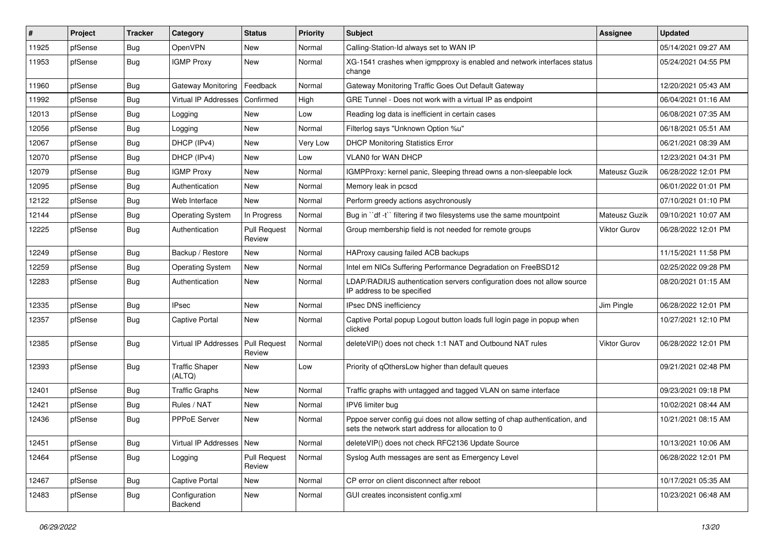| #     | Project | <b>Tracker</b> | Category                        | <b>Status</b>                 | <b>Priority</b> | <b>Subject</b>                                                                                                                   | <b>Assignee</b>     | <b>Updated</b>      |
|-------|---------|----------------|---------------------------------|-------------------------------|-----------------|----------------------------------------------------------------------------------------------------------------------------------|---------------------|---------------------|
| 11925 | pfSense | Bug            | OpenVPN                         | New                           | Normal          | Calling-Station-Id always set to WAN IP                                                                                          |                     | 05/14/2021 09:27 AM |
| 11953 | pfSense | <b>Bug</b>     | <b>IGMP Proxy</b>               | <b>New</b>                    | Normal          | XG-1541 crashes when igmpproxy is enabled and network interfaces status<br>change                                                |                     | 05/24/2021 04:55 PM |
| 11960 | pfSense | Bug            | Gateway Monitoring              | Feedback                      | Normal          | Gateway Monitoring Traffic Goes Out Default Gateway                                                                              |                     | 12/20/2021 05:43 AM |
| 11992 | pfSense | Bug            | Virtual IP Addresses            | Confirmed                     | High            | GRE Tunnel - Does not work with a virtual IP as endpoint                                                                         |                     | 06/04/2021 01:16 AM |
| 12013 | pfSense | <b>Bug</b>     | Logging                         | New                           | Low             | Reading log data is inefficient in certain cases                                                                                 |                     | 06/08/2021 07:35 AM |
| 12056 | pfSense | Bug            | Logging                         | New                           | Normal          | Filterlog says "Unknown Option %u"                                                                                               |                     | 06/18/2021 05:51 AM |
| 12067 | pfSense | <b>Bug</b>     | DHCP (IPv4)                     | New                           | Very Low        | <b>DHCP Monitoring Statistics Error</b>                                                                                          |                     | 06/21/2021 08:39 AM |
| 12070 | pfSense | <b>Bug</b>     | DHCP (IPv4)                     | <b>New</b>                    | Low             | VLAN0 for WAN DHCP                                                                                                               |                     | 12/23/2021 04:31 PM |
| 12079 | pfSense | Bug            | <b>IGMP Proxy</b>               | <b>New</b>                    | Normal          | IGMPProxy: kernel panic, Sleeping thread owns a non-sleepable lock                                                               | Mateusz Guzik       | 06/28/2022 12:01 PM |
| 12095 | pfSense | Bug            | Authentication                  | New                           | Normal          | Memory leak in pcscd                                                                                                             |                     | 06/01/2022 01:01 PM |
| 12122 | pfSense | Bug            | Web Interface                   | New                           | Normal          | Perform greedy actions asychronously                                                                                             |                     | 07/10/2021 01:10 PM |
| 12144 | pfSense | Bug            | <b>Operating System</b>         | In Progress                   | Normal          | Bug in "df -t" filtering if two filesystems use the same mountpoint                                                              | Mateusz Guzik       | 09/10/2021 10:07 AM |
| 12225 | pfSense | Bug            | Authentication                  | <b>Pull Request</b><br>Review | Normal          | Group membership field is not needed for remote groups                                                                           | Viktor Gurov        | 06/28/2022 12:01 PM |
| 12249 | pfSense | Bug            | Backup / Restore                | New                           | Normal          | HAProxy causing failed ACB backups                                                                                               |                     | 11/15/2021 11:58 PM |
| 12259 | pfSense | Bug            | <b>Operating System</b>         | New                           | Normal          | Intel em NICs Suffering Performance Degradation on FreeBSD12                                                                     |                     | 02/25/2022 09:28 PM |
| 12283 | pfSense | Bug            | Authentication                  | <b>New</b>                    | Normal          | LDAP/RADIUS authentication servers configuration does not allow source<br>IP address to be specified                             |                     | 08/20/2021 01:15 AM |
| 12335 | pfSense | Bug            | <b>IPsec</b>                    | <b>New</b>                    | Normal          | IPsec DNS inefficiency                                                                                                           | Jim Pingle          | 06/28/2022 12:01 PM |
| 12357 | pfSense | Bug            | <b>Captive Portal</b>           | New                           | Normal          | Captive Portal popup Logout button loads full login page in popup when<br>clicked                                                |                     | 10/27/2021 12:10 PM |
| 12385 | pfSense | Bug            | Virtual IP Addresses            | <b>Pull Request</b><br>Review | Normal          | deleteVIP() does not check 1:1 NAT and Outbound NAT rules                                                                        | <b>Viktor Gurov</b> | 06/28/2022 12:01 PM |
| 12393 | pfSense | Bug            | <b>Traffic Shaper</b><br>(ALTQ) | <b>New</b>                    | Low             | Priority of qOthersLow higher than default queues                                                                                |                     | 09/21/2021 02:48 PM |
| 12401 | pfSense | Bug            | <b>Traffic Graphs</b>           | New                           | Normal          | Traffic graphs with untagged and tagged VLAN on same interface                                                                   |                     | 09/23/2021 09:18 PM |
| 12421 | pfSense | Bug            | Rules / NAT                     | New                           | Normal          | IPV6 limiter bug                                                                                                                 |                     | 10/02/2021 08:44 AM |
| 12436 | pfSense | Bug            | <b>PPPoE Server</b>             | <b>New</b>                    | Normal          | Pppoe server config gui does not allow setting of chap authentication, and<br>sets the network start address for allocation to 0 |                     | 10/21/2021 08:15 AM |
| 12451 | pfSense | <b>Bug</b>     | Virtual IP Addresses   New      |                               | Normal          | deleteVIP() does not check RFC2136 Update Source                                                                                 |                     | 10/13/2021 10:06 AM |
| 12464 | pfSense | Bug            | Logging                         | <b>Pull Request</b><br>Review | Normal          | Syslog Auth messages are sent as Emergency Level                                                                                 |                     | 06/28/2022 12:01 PM |
| 12467 | pfSense | Bug            | Captive Portal                  | New                           | Normal          | CP error on client disconnect after reboot                                                                                       |                     | 10/17/2021 05:35 AM |
| 12483 | pfSense | Bug            | Configuration<br>Backend        | New                           | Normal          | GUI creates inconsistent config.xml                                                                                              |                     | 10/23/2021 06:48 AM |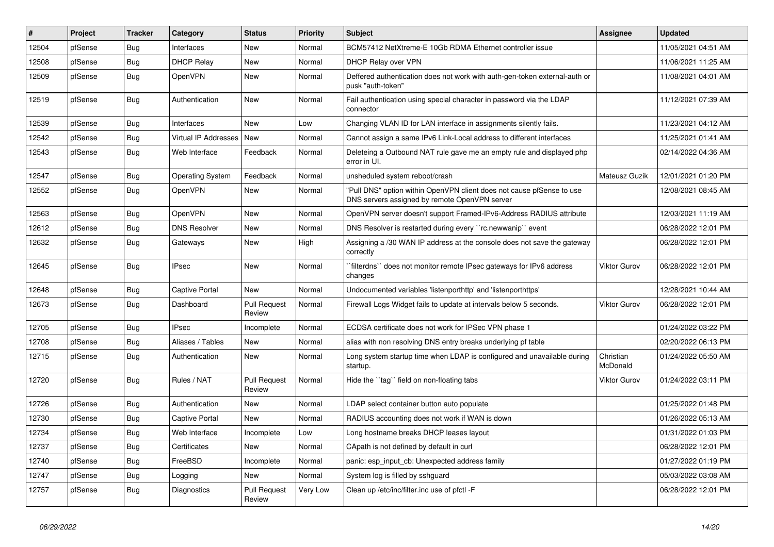| #     | Project | <b>Tracker</b> | Category                | <b>Status</b>                 | <b>Priority</b> | <b>Subject</b>                                                                                                         | <b>Assignee</b>       | <b>Updated</b>      |
|-------|---------|----------------|-------------------------|-------------------------------|-----------------|------------------------------------------------------------------------------------------------------------------------|-----------------------|---------------------|
| 12504 | pfSense | Bug            | Interfaces              | <b>New</b>                    | Normal          | BCM57412 NetXtreme-E 10Gb RDMA Ethernet controller issue                                                               |                       | 11/05/2021 04:51 AM |
| 12508 | pfSense | <b>Bug</b>     | <b>DHCP Relay</b>       | <b>New</b>                    | Normal          | DHCP Relay over VPN                                                                                                    |                       | 11/06/2021 11:25 AM |
| 12509 | pfSense | <b>Bug</b>     | OpenVPN                 | <b>New</b>                    | Normal          | Deffered authentication does not work with auth-gen-token external-auth or<br>pusk "auth-token"                        |                       | 11/08/2021 04:01 AM |
| 12519 | pfSense | <b>Bug</b>     | Authentication          | <b>New</b>                    | Normal          | Fail authentication using special character in password via the LDAP<br>connector                                      |                       | 11/12/2021 07:39 AM |
| 12539 | pfSense | <b>Bug</b>     | Interfaces              | <b>New</b>                    | Low             | Changing VLAN ID for LAN interface in assignments silently fails.                                                      |                       | 11/23/2021 04:12 AM |
| 12542 | pfSense | <b>Bug</b>     | Virtual IP Addresses    | <b>New</b>                    | Normal          | Cannot assign a same IPv6 Link-Local address to different interfaces                                                   |                       | 11/25/2021 01:41 AM |
| 12543 | pfSense | <b>Bug</b>     | Web Interface           | Feedback                      | Normal          | Deleteing a Outbound NAT rule gave me an empty rule and displayed php<br>error in UI.                                  |                       | 02/14/2022 04:36 AM |
| 12547 | pfSense | Bug            | <b>Operating System</b> | Feedback                      | Normal          | unsheduled system reboot/crash                                                                                         | Mateusz Guzik         | 12/01/2021 01:20 PM |
| 12552 | pfSense | Bug            | OpenVPN                 | New                           | Normal          | "Pull DNS" option within OpenVPN client does not cause pfSense to use<br>DNS servers assigned by remote OpenVPN server |                       | 12/08/2021 08:45 AM |
| 12563 | pfSense | Bug            | <b>OpenVPN</b>          | <b>New</b>                    | Normal          | OpenVPN server doesn't support Framed-IPv6-Address RADIUS attribute                                                    |                       | 12/03/2021 11:19 AM |
| 12612 | pfSense | <b>Bug</b>     | <b>DNS Resolver</b>     | New                           | Normal          | DNS Resolver is restarted during every "rc.newwanip" event                                                             |                       | 06/28/2022 12:01 PM |
| 12632 | pfSense | <b>Bug</b>     | Gateways                | <b>New</b>                    | High            | Assigning a /30 WAN IP address at the console does not save the gateway<br>correctly                                   |                       | 06/28/2022 12:01 PM |
| 12645 | pfSense | <b>Bug</b>     | <b>IPsec</b>            | <b>New</b>                    | Normal          | `filterdns`` does not monitor remote IPsec gateways for IPv6 address<br>changes                                        | <b>Viktor Gurov</b>   | 06/28/2022 12:01 PM |
| 12648 | pfSense | Bug            | Captive Portal          | New                           | Normal          | Undocumented variables 'listenporthttp' and 'listenporthttps'                                                          |                       | 12/28/2021 10:44 AM |
| 12673 | pfSense | Bug            | Dashboard               | <b>Pull Request</b><br>Review | Normal          | Firewall Logs Widget fails to update at intervals below 5 seconds.                                                     | Viktor Gurov          | 06/28/2022 12:01 PM |
| 12705 | pfSense | Bug            | <b>IPsec</b>            | Incomplete                    | Normal          | ECDSA certificate does not work for IPSec VPN phase 1                                                                  |                       | 01/24/2022 03:22 PM |
| 12708 | pfSense | Bug            | Aliases / Tables        | <b>New</b>                    | Normal          | alias with non resolving DNS entry breaks underlying pf table                                                          |                       | 02/20/2022 06:13 PM |
| 12715 | pfSense | Bug            | Authentication          | <b>New</b>                    | Normal          | Long system startup time when LDAP is configured and unavailable during<br>startup.                                    | Christian<br>McDonald | 01/24/2022 05:50 AM |
| 12720 | pfSense | <b>Bug</b>     | Rules / NAT             | <b>Pull Request</b><br>Review | Normal          | Hide the "tag" field on non-floating tabs                                                                              | <b>Viktor Gurov</b>   | 01/24/2022 03:11 PM |
| 12726 | pfSense | Bug            | Authentication          | <b>New</b>                    | Normal          | LDAP select container button auto populate                                                                             |                       | 01/25/2022 01:48 PM |
| 12730 | pfSense | Bug            | <b>Captive Portal</b>   | <b>New</b>                    | Normal          | RADIUS accounting does not work if WAN is down                                                                         |                       | 01/26/2022 05:13 AM |
| 12734 | pfSense | Bug            | Web Interface           | Incomplete                    | Low             | Long hostname breaks DHCP leases layout                                                                                |                       | 01/31/2022 01:03 PM |
| 12737 | pfSense | <b>Bug</b>     | Certificates            | <b>New</b>                    | Normal          | CApath is not defined by default in curl                                                                               |                       | 06/28/2022 12:01 PM |
| 12740 | pfSense | Bug            | FreeBSD                 | Incomplete                    | Normal          | panic: esp input cb: Unexpected address family                                                                         |                       | 01/27/2022 01:19 PM |
| 12747 | pfSense | Bug            | Logging                 | <b>New</b>                    | Normal          | System log is filled by sshguard                                                                                       |                       | 05/03/2022 03:08 AM |
| 12757 | pfSense | Bug            | Diagnostics             | <b>Pull Request</b><br>Review | Very Low        | Clean up /etc/inc/filter.inc use of pfctl -F                                                                           |                       | 06/28/2022 12:01 PM |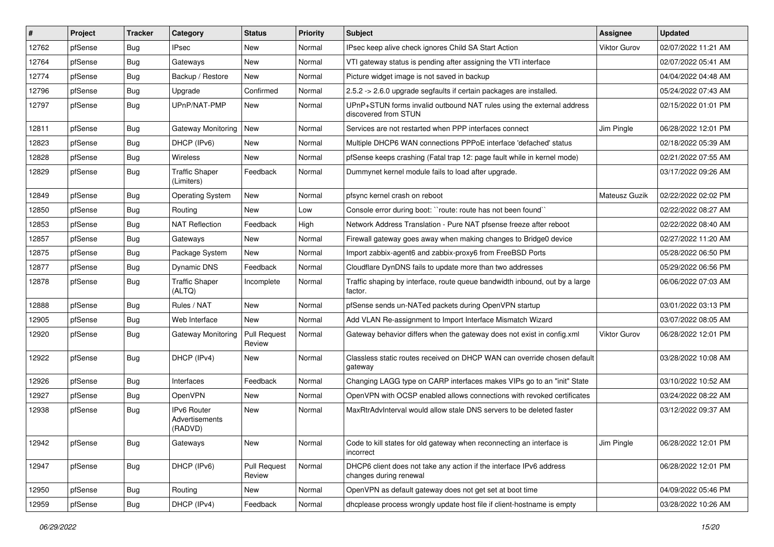| #     | Project | <b>Tracker</b> | Category                                 | <b>Status</b>                 | Priority | <b>Subject</b>                                                                                | <b>Assignee</b> | <b>Updated</b>      |
|-------|---------|----------------|------------------------------------------|-------------------------------|----------|-----------------------------------------------------------------------------------------------|-----------------|---------------------|
| 12762 | pfSense | Bug            | IPsec                                    | New                           | Normal   | IPsec keep alive check ignores Child SA Start Action                                          | Viktor Gurov    | 02/07/2022 11:21 AM |
| 12764 | pfSense | Bug            | Gateways                                 | <b>New</b>                    | Normal   | VTI gateway status is pending after assigning the VTI interface                               |                 | 02/07/2022 05:41 AM |
| 12774 | pfSense | Bug            | Backup / Restore                         | New                           | Normal   | Picture widget image is not saved in backup                                                   |                 | 04/04/2022 04:48 AM |
| 12796 | pfSense | <b>Bug</b>     | Upgrade                                  | Confirmed                     | Normal   | 2.5.2 -> 2.6.0 upgrade segfaults if certain packages are installed.                           |                 | 05/24/2022 07:43 AM |
| 12797 | pfSense | Bug            | UPnP/NAT-PMP                             | <b>New</b>                    | Normal   | UPnP+STUN forms invalid outbound NAT rules using the external address<br>discovered from STUN |                 | 02/15/2022 01:01 PM |
| 12811 | pfSense | Bug            | <b>Gateway Monitoring</b>                | <b>New</b>                    | Normal   | Services are not restarted when PPP interfaces connect                                        | Jim Pingle      | 06/28/2022 12:01 PM |
| 12823 | pfSense | Bug            | DHCP (IPv6)                              | <b>New</b>                    | Normal   | Multiple DHCP6 WAN connections PPPoE interface 'defached' status                              |                 | 02/18/2022 05:39 AM |
| 12828 | pfSense | <b>Bug</b>     | Wireless                                 | New                           | Normal   | pfSense keeps crashing (Fatal trap 12: page fault while in kernel mode)                       |                 | 02/21/2022 07:55 AM |
| 12829 | pfSense | Bug            | <b>Traffic Shaper</b><br>(Limiters)      | Feedback                      | Normal   | Dummynet kernel module fails to load after upgrade.                                           |                 | 03/17/2022 09:26 AM |
| 12849 | pfSense | Bug            | <b>Operating System</b>                  | New                           | Normal   | pfsync kernel crash on reboot                                                                 | Mateusz Guzik   | 02/22/2022 02:02 PM |
| 12850 | pfSense | Bug            | Routing                                  | <b>New</b>                    | Low      | Console error during boot: "route: route has not been found"                                  |                 | 02/22/2022 08:27 AM |
| 12853 | pfSense | <b>Bug</b>     | <b>NAT Reflection</b>                    | Feedback                      | High     | Network Address Translation - Pure NAT pfsense freeze after reboot                            |                 | 02/22/2022 08:40 AM |
| 12857 | pfSense | <b>Bug</b>     | Gateways                                 | <b>New</b>                    | Normal   | Firewall gateway goes away when making changes to Bridge0 device                              |                 | 02/27/2022 11:20 AM |
| 12875 | pfSense | <b>Bug</b>     | Package System                           | <b>New</b>                    | Normal   | Import zabbix-agent6 and zabbix-proxy6 from FreeBSD Ports                                     |                 | 05/28/2022 06:50 PM |
| 12877 | pfSense | Bug            | Dynamic DNS                              | Feedback                      | Normal   | Cloudflare DynDNS fails to update more than two addresses                                     |                 | 05/29/2022 06:56 PM |
| 12878 | pfSense | Bug            | <b>Traffic Shaper</b><br>(ALTQ)          | Incomplete                    | Normal   | Traffic shaping by interface, route queue bandwidth inbound, out by a large<br>factor.        |                 | 06/06/2022 07:03 AM |
| 12888 | pfSense | Bug            | Rules / NAT                              | New                           | Normal   | pfSense sends un-NATed packets during OpenVPN startup                                         |                 | 03/01/2022 03:13 PM |
| 12905 | pfSense | Bug            | Web Interface                            | <b>New</b>                    | Normal   | Add VLAN Re-assignment to Import Interface Mismatch Wizard                                    |                 | 03/07/2022 08:05 AM |
| 12920 | pfSense | Bug            | Gateway Monitoring                       | <b>Pull Request</b><br>Review | Normal   | Gateway behavior differs when the gateway does not exist in config.xml                        | Viktor Gurov    | 06/28/2022 12:01 PM |
| 12922 | pfSense | <b>Bug</b>     | DHCP (IPv4)                              | <b>New</b>                    | Normal   | Classless static routes received on DHCP WAN can override chosen default<br>gateway           |                 | 03/28/2022 10:08 AM |
| 12926 | pfSense | Bug            | Interfaces                               | Feedback                      | Normal   | Changing LAGG type on CARP interfaces makes VIPs go to an "init" State                        |                 | 03/10/2022 10:52 AM |
| 12927 | pfSense | Bug            | OpenVPN                                  | New                           | Normal   | OpenVPN with OCSP enabled allows connections with revoked certificates                        |                 | 03/24/2022 08:22 AM |
| 12938 | pfSense | Bug            | IPv6 Router<br>Advertisements<br>(RADVD) | New                           | Normal   | MaxRtrAdvInterval would allow stale DNS servers to be deleted faster                          |                 | 03/12/2022 09:37 AM |
| 12942 | pfSense | Bug            | Gateways                                 | New                           | Normal   | Code to kill states for old gateway when reconnecting an interface is<br>incorrect            | Jim Pingle      | 06/28/2022 12:01 PM |
| 12947 | pfSense | <b>Bug</b>     | DHCP (IPv6)                              | <b>Pull Request</b><br>Review | Normal   | DHCP6 client does not take any action if the interface IPv6 address<br>changes during renewal |                 | 06/28/2022 12:01 PM |
| 12950 | pfSense | Bug            | Routing                                  | New                           | Normal   | OpenVPN as default gateway does not get set at boot time                                      |                 | 04/09/2022 05:46 PM |
| 12959 | pfSense | Bug            | DHCP (IPv4)                              | Feedback                      | Normal   | dhcplease process wrongly update host file if client-hostname is empty                        |                 | 03/28/2022 10:26 AM |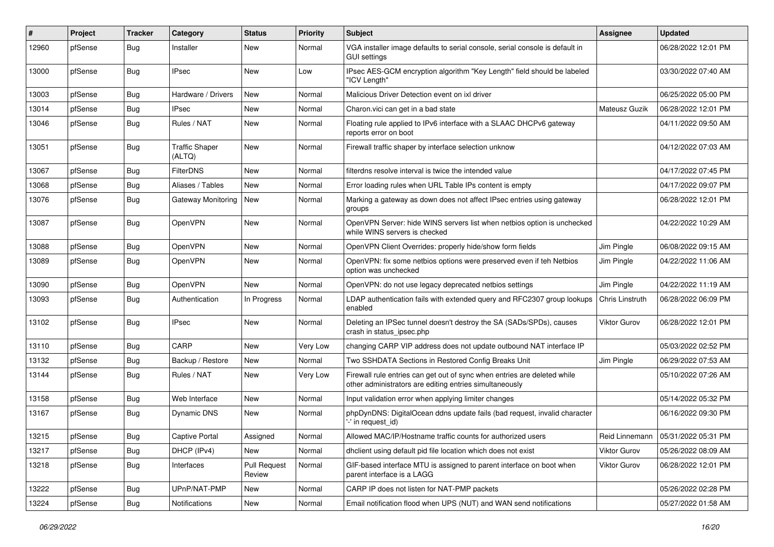| ∦     | Project | Tracker    | Category                        | <b>Status</b>                 | <b>Priority</b> | <b>Subject</b>                                                                                                                      | <b>Assignee</b>        | <b>Updated</b>      |
|-------|---------|------------|---------------------------------|-------------------------------|-----------------|-------------------------------------------------------------------------------------------------------------------------------------|------------------------|---------------------|
| 12960 | pfSense | <b>Bug</b> | Installer                       | New                           | Normal          | VGA installer image defaults to serial console, serial console is default in<br><b>GUI settings</b>                                 |                        | 06/28/2022 12:01 PM |
| 13000 | pfSense | Bug        | <b>IPsec</b>                    | New                           | Low             | IPsec AES-GCM encryption algorithm "Key Length" field should be labeled<br>"ICV Length"                                             |                        | 03/30/2022 07:40 AM |
| 13003 | pfSense | Bug        | Hardware / Drivers              | <b>New</b>                    | Normal          | Malicious Driver Detection event on ixl driver                                                                                      |                        | 06/25/2022 05:00 PM |
| 13014 | pfSense | <b>Bug</b> | <b>IPsec</b>                    | New                           | Normal          | Charon.vici can get in a bad state                                                                                                  | Mateusz Guzik          | 06/28/2022 12:01 PM |
| 13046 | pfSense | Bug        | Rules / NAT                     | New                           | Normal          | Floating rule applied to IPv6 interface with a SLAAC DHCPv6 gateway<br>reports error on boot                                        |                        | 04/11/2022 09:50 AM |
| 13051 | pfSense | Bug        | <b>Traffic Shaper</b><br>(ALTQ) | New                           | Normal          | Firewall traffic shaper by interface selection unknow                                                                               |                        | 04/12/2022 07:03 AM |
| 13067 | pfSense | Bug        | <b>FilterDNS</b>                | New                           | Normal          | filterdns resolve interval is twice the intended value                                                                              |                        | 04/17/2022 07:45 PM |
| 13068 | pfSense | <b>Bug</b> | Aliases / Tables                | <b>New</b>                    | Normal          | Error loading rules when URL Table IPs content is empty                                                                             |                        | 04/17/2022 09:07 PM |
| 13076 | pfSense | Bug        | Gateway Monitoring              | <b>New</b>                    | Normal          | Marking a gateway as down does not affect IPsec entries using gateway<br>groups                                                     |                        | 06/28/2022 12:01 PM |
| 13087 | pfSense | Bug        | OpenVPN                         | New                           | Normal          | OpenVPN Server: hide WINS servers list when netbios option is unchecked<br>while WINS servers is checked                            |                        | 04/22/2022 10:29 AM |
| 13088 | pfSense | <b>Bug</b> | <b>OpenVPN</b>                  | New                           | Normal          | OpenVPN Client Overrides: properly hide/show form fields                                                                            | Jim Pingle             | 06/08/2022 09:15 AM |
| 13089 | pfSense | Bug        | OpenVPN                         | New                           | Normal          | OpenVPN: fix some netbios options were preserved even if teh Netbios<br>option was unchecked                                        | Jim Pingle             | 04/22/2022 11:06 AM |
| 13090 | pfSense | Bug        | OpenVPN                         | <b>New</b>                    | Normal          | OpenVPN: do not use legacy deprecated netbios settings                                                                              | Jim Pingle             | 04/22/2022 11:19 AM |
| 13093 | pfSense | Bug        | Authentication                  | In Progress                   | Normal          | LDAP authentication fails with extended query and RFC2307 group lookups<br>enabled                                                  | <b>Chris Linstruth</b> | 06/28/2022 06:09 PM |
| 13102 | pfSense | Bug        | IPsec                           | New                           | Normal          | Deleting an IPSec tunnel doesn't destroy the SA (SADs/SPDs), causes<br>crash in status_ipsec.php                                    | Viktor Gurov           | 06/28/2022 12:01 PM |
| 13110 | pfSense | Bug        | CARP                            | <b>New</b>                    | Very Low        | changing CARP VIP address does not update outbound NAT interface IP                                                                 |                        | 05/03/2022 02:52 PM |
| 13132 | pfSense | Bug        | Backup / Restore                | New                           | Normal          | Two SSHDATA Sections in Restored Config Breaks Unit                                                                                 | Jim Pingle             | 06/29/2022 07:53 AM |
| 13144 | pfSense | <b>Bug</b> | Rules / NAT                     | <b>New</b>                    | <b>Very Low</b> | Firewall rule entries can get out of sync when entries are deleted while<br>other administrators are editing entries simultaneously |                        | 05/10/2022 07:26 AM |
| 13158 | pfSense | Bug        | Web Interface                   | <b>New</b>                    | Normal          | Input validation error when applying limiter changes                                                                                |                        | 05/14/2022 05:32 PM |
| 13167 | pfSense | Bug        | Dynamic DNS                     | New                           | Normal          | phpDynDNS: DigitalOcean ddns update fails (bad request, invalid character<br>-' in request id)                                      |                        | 06/16/2022 09:30 PM |
| 13215 | pfSense | Bug        | Captive Portal                  | Assigned                      | Normal          | Allowed MAC/IP/Hostname traffic counts for authorized users                                                                         | Reid Linnemann         | 05/31/2022 05:31 PM |
| 13217 | pfSense | <b>Bug</b> | DHCP (IPv4)                     | New                           | Normal          | dholient using default pid file location which does not exist                                                                       | Viktor Gurov           | 05/26/2022 08:09 AM |
| 13218 | pfSense | Bug        | Interfaces                      | <b>Pull Request</b><br>Review | Normal          | GIF-based interface MTU is assigned to parent interface on boot when<br>parent interface is a LAGG                                  | Viktor Gurov           | 06/28/2022 12:01 PM |
| 13222 | pfSense | Bug        | UPnP/NAT-PMP                    | New                           | Normal          | CARP IP does not listen for NAT-PMP packets                                                                                         |                        | 05/26/2022 02:28 PM |
| 13224 | pfSense | Bug        | <b>Notifications</b>            | New                           | Normal          | Email notification flood when UPS (NUT) and WAN send notifications                                                                  |                        | 05/27/2022 01:58 AM |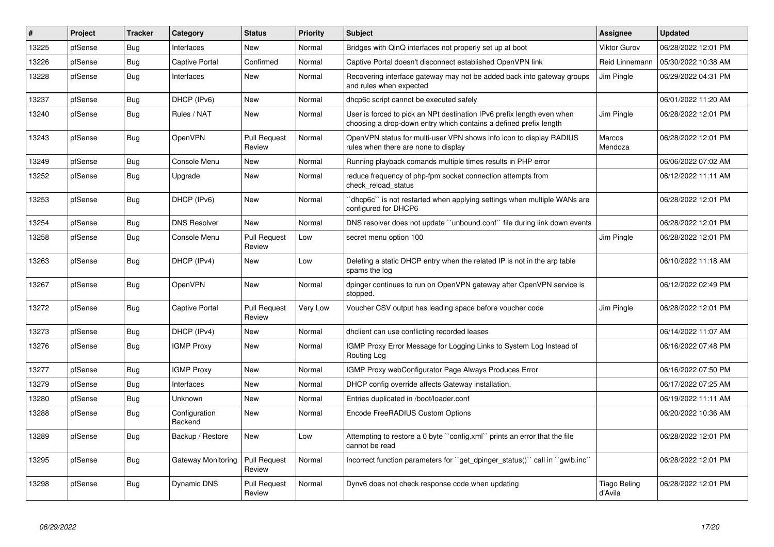| #     | Project | <b>Tracker</b> | Category                 | <b>Status</b>                 | Priority        | <b>Subject</b>                                                                                                                              | <b>Assignee</b>         | <b>Updated</b>      |
|-------|---------|----------------|--------------------------|-------------------------------|-----------------|---------------------------------------------------------------------------------------------------------------------------------------------|-------------------------|---------------------|
| 13225 | pfSense | Bug            | Interfaces               | <b>New</b>                    | Normal          | Bridges with QinQ interfaces not properly set up at boot                                                                                    | Viktor Gurov            | 06/28/2022 12:01 PM |
| 13226 | pfSense | Bug            | <b>Captive Portal</b>    | Confirmed                     | Normal          | Captive Portal doesn't disconnect established OpenVPN link                                                                                  | Reid Linnemann          | 05/30/2022 10:38 AM |
| 13228 | pfSense | Bug            | Interfaces               | New                           | Normal          | Recovering interface gateway may not be added back into gateway groups<br>and rules when expected                                           | Jim Pingle              | 06/29/2022 04:31 PM |
| 13237 | pfSense | Bug            | DHCP (IPv6)              | <b>New</b>                    | Normal          | dhcp6c script cannot be executed safely                                                                                                     |                         | 06/01/2022 11:20 AM |
| 13240 | pfSense | Bug            | Rules / NAT              | <b>New</b>                    | Normal          | User is forced to pick an NPt destination IPv6 prefix length even when<br>choosing a drop-down entry which contains a defined prefix length | Jim Pingle              | 06/28/2022 12:01 PM |
| 13243 | pfSense | Bug            | OpenVPN                  | <b>Pull Request</b><br>Review | Normal          | OpenVPN status for multi-user VPN shows info icon to display RADIUS<br>rules when there are none to display                                 | Marcos<br>Mendoza       | 06/28/2022 12:01 PM |
| 13249 | pfSense | Bug            | Console Menu             | <b>New</b>                    | Normal          | Running playback comands multiple times results in PHP error                                                                                |                         | 06/06/2022 07:02 AM |
| 13252 | pfSense | Bug            | Upgrade                  | <b>New</b>                    | Normal          | reduce frequency of php-fpm socket connection attempts from<br>check reload status                                                          |                         | 06/12/2022 11:11 AM |
| 13253 | pfSense | <b>Bug</b>     | DHCP (IPv6)              | <b>New</b>                    | Normal          | 'dhcp6c'' is not restarted when applying settings when multiple WANs are<br>configured for DHCP6                                            |                         | 06/28/2022 12:01 PM |
| 13254 | pfSense | Bug            | <b>DNS Resolver</b>      | New                           | Normal          | DNS resolver does not update "unbound.conf" file during link down events                                                                    |                         | 06/28/2022 12:01 PM |
| 13258 | pfSense | Bug            | Console Menu             | <b>Pull Request</b><br>Review | Low             | secret menu option 100                                                                                                                      | Jim Pingle              | 06/28/2022 12:01 PM |
| 13263 | pfSense | <b>Bug</b>     | DHCP (IPv4)              | New                           | Low             | Deleting a static DHCP entry when the related IP is not in the arp table<br>spams the log                                                   |                         | 06/10/2022 11:18 AM |
| 13267 | pfSense | Bug            | OpenVPN                  | <b>New</b>                    | Normal          | dpinger continues to run on OpenVPN gateway after OpenVPN service is<br>stopped.                                                            |                         | 06/12/2022 02:49 PM |
| 13272 | pfSense | <b>Bug</b>     | <b>Captive Portal</b>    | <b>Pull Request</b><br>Review | <b>Very Low</b> | Voucher CSV output has leading space before voucher code                                                                                    | Jim Pingle              | 06/28/2022 12:01 PM |
| 13273 | pfSense | Bug            | DHCP (IPv4)              | <b>New</b>                    | Normal          | dhclient can use conflicting recorded leases                                                                                                |                         | 06/14/2022 11:07 AM |
| 13276 | pfSense | Bug            | <b>IGMP Proxy</b>        | <b>New</b>                    | Normal          | IGMP Proxy Error Message for Logging Links to System Log Instead of<br>Routing Log                                                          |                         | 06/16/2022 07:48 PM |
| 13277 | pfSense | <b>Bug</b>     | <b>IGMP Proxy</b>        | <b>New</b>                    | Normal          | <b>IGMP Proxy webConfigurator Page Always Produces Error</b>                                                                                |                         | 06/16/2022 07:50 PM |
| 13279 | pfSense | <b>Bug</b>     | Interfaces               | <b>New</b>                    | Normal          | DHCP config override affects Gateway installation.                                                                                          |                         | 06/17/2022 07:25 AM |
| 13280 | pfSense | Bug            | Unknown                  | <b>New</b>                    | Normal          | Entries duplicated in /boot/loader.conf                                                                                                     |                         | 06/19/2022 11:11 AM |
| 13288 | pfSense | Bug            | Configuration<br>Backend | New                           | Normal          | Encode FreeRADIUS Custom Options                                                                                                            |                         | 06/20/2022 10:36 AM |
| 13289 | pfSense | Bug            | Backup / Restore         | <b>New</b>                    | Low             | Attempting to restore a 0 byte "config.xml" prints an error that the file<br>cannot be read                                                 |                         | 06/28/2022 12:01 PM |
| 13295 | pfSense | Bug            | Gateway Monitoring       | <b>Pull Request</b><br>Review | Normal          | Incorrect function parameters for "get dpinger status()" call in "gwlb.inc"                                                                 |                         | 06/28/2022 12:01 PM |
| 13298 | pfSense | Bug            | Dynamic DNS              | <b>Pull Request</b><br>Review | Normal          | Dynv6 does not check response code when updating                                                                                            | Tiago Beling<br>d'Avila | 06/28/2022 12:01 PM |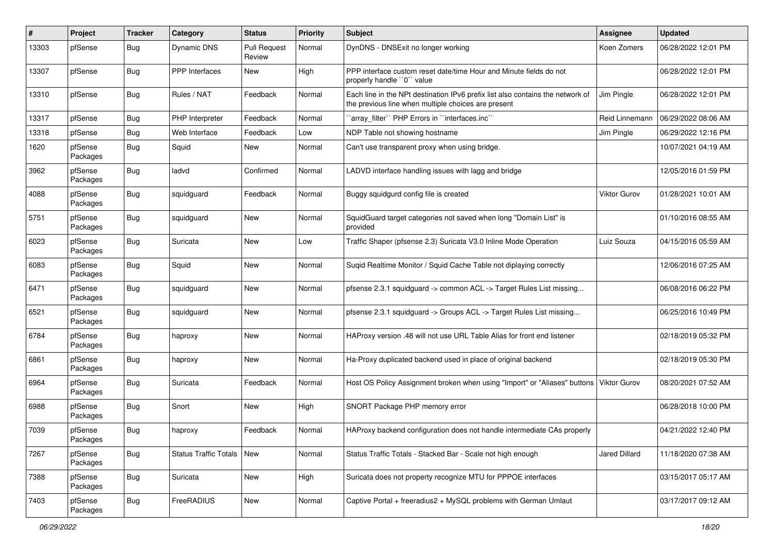| #     | Project             | <b>Tracker</b> | Category                     | <b>Status</b>                 | <b>Priority</b> | <b>Subject</b>                                                                                                                        | <b>Assignee</b>     | <b>Updated</b>      |
|-------|---------------------|----------------|------------------------------|-------------------------------|-----------------|---------------------------------------------------------------------------------------------------------------------------------------|---------------------|---------------------|
| 13303 | pfSense             | Bug            | Dynamic DNS                  | <b>Pull Request</b><br>Review | Normal          | DynDNS - DNSExit no longer working                                                                                                    | Koen Zomers         | 06/28/2022 12:01 PM |
| 13307 | pfSense             | Bug            | <b>PPP</b> Interfaces        | New                           | High            | PPP interface custom reset date/time Hour and Minute fields do not<br>properly handle "0" value                                       |                     | 06/28/2022 12:01 PM |
| 13310 | pfSense             | Bug            | Rules / NAT                  | Feedback                      | Normal          | Each line in the NPt destination IPv6 prefix list also contains the network of<br>the previous line when multiple choices are present | Jim Pingle          | 06/28/2022 12:01 PM |
| 13317 | pfSense             | Bug            | PHP Interpreter              | Feedback                      | Normal          | `array_filter`` PHP Errors in ``interfaces.inc``                                                                                      | Reid Linnemann      | 06/29/2022 08:06 AM |
| 13318 | pfSense             | Bug            | Web Interface                | Feedback                      | Low             | NDP Table not showing hostname                                                                                                        | Jim Pingle          | 06/29/2022 12:16 PM |
| 1620  | pfSense<br>Packages | Bug            | Squid                        | New                           | Normal          | Can't use transparent proxy when using bridge.                                                                                        |                     | 10/07/2021 04:19 AM |
| 3962  | pfSense<br>Packages | Bug            | ladvd                        | Confirmed                     | Normal          | LADVD interface handling issues with lagg and bridge                                                                                  |                     | 12/05/2016 01:59 PM |
| 4088  | pfSense<br>Packages | Bug            | squidguard                   | Feedback                      | Normal          | Buggy squidgurd config file is created                                                                                                | <b>Viktor Gurov</b> | 01/28/2021 10:01 AM |
| 5751  | pfSense<br>Packages | <b>Bug</b>     | squidguard                   | New                           | Normal          | SquidGuard target categories not saved when long "Domain List" is<br>provided                                                         |                     | 01/10/2016 08:55 AM |
| 6023  | pfSense<br>Packages | <b>Bug</b>     | Suricata                     | <b>New</b>                    | Low             | Traffic Shaper (pfsense 2.3) Suricata V3.0 Inline Mode Operation                                                                      | Luiz Souza          | 04/15/2016 05:59 AM |
| 6083  | pfSense<br>Packages | <b>Bug</b>     | Squid                        | <b>New</b>                    | Normal          | Suqid Realtime Monitor / Squid Cache Table not diplaying correctly                                                                    |                     | 12/06/2016 07:25 AM |
| 6471  | pfSense<br>Packages | Bug            | squidguard                   | New                           | Normal          | pfsense 2.3.1 squidguard -> common ACL -> Target Rules List missing                                                                   |                     | 06/08/2016 06:22 PM |
| 6521  | pfSense<br>Packages | Bug            | squidguard                   | <b>New</b>                    | Normal          | pfsense 2.3.1 squidguard -> Groups ACL -> Target Rules List missing                                                                   |                     | 06/25/2016 10:49 PM |
| 6784  | pfSense<br>Packages | <b>Bug</b>     | haproxy                      | New                           | Normal          | HAProxy version .48 will not use URL Table Alias for front end listener                                                               |                     | 02/18/2019 05:32 PM |
| 6861  | pfSense<br>Packages | Bug            | haproxy                      | <b>New</b>                    | Normal          | Ha-Proxy duplicated backend used in place of original backend                                                                         |                     | 02/18/2019 05:30 PM |
| 6964  | pfSense<br>Packages | Bug            | Suricata                     | Feedback                      | Normal          | Host OS Policy Assignment broken when using "Import" or "Aliases" buttons   Viktor Gurov                                              |                     | 08/20/2021 07:52 AM |
| 6988  | pfSense<br>Packages | Bug            | Snort                        | New                           | High            | SNORT Package PHP memory error                                                                                                        |                     | 06/28/2018 10:00 PM |
| 7039  | pfSense<br>Packages | Bug            | haproxy                      | Feedback                      | Normal          | HAProxy backend configuration does not handle intermediate CAs properly                                                               |                     | 04/21/2022 12:40 PM |
| 7267  | pfSense<br>Packages | <b>Bug</b>     | <b>Status Traffic Totals</b> | New                           | Normal          | Status Traffic Totals - Stacked Bar - Scale not high enough                                                                           | Jared Dillard       | 11/18/2020 07:38 AM |
| 7388  | pfSense<br>Packages | Bug            | Suricata                     | New                           | High            | Suricata does not property recognize MTU for PPPOE interfaces                                                                         |                     | 03/15/2017 05:17 AM |
| 7403  | pfSense<br>Packages | Bug            | FreeRADIUS                   | New                           | Normal          | Captive Portal + freeradius2 + MySQL problems with German Umlaut                                                                      |                     | 03/17/2017 09:12 AM |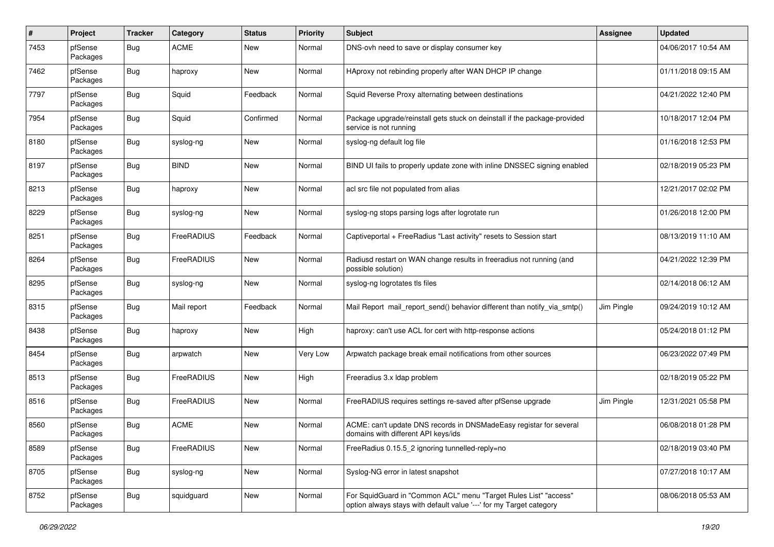| $\pmb{\#}$ | Project             | <b>Tracker</b> | Category    | <b>Status</b> | <b>Priority</b> | Subject                                                                                                                                 | <b>Assignee</b> | <b>Updated</b>      |
|------------|---------------------|----------------|-------------|---------------|-----------------|-----------------------------------------------------------------------------------------------------------------------------------------|-----------------|---------------------|
| 7453       | pfSense<br>Packages | Bug            | <b>ACME</b> | New           | Normal          | DNS-ovh need to save or display consumer key                                                                                            |                 | 04/06/2017 10:54 AM |
| 7462       | pfSense<br>Packages | Bug            | haproxy     | New           | Normal          | HAproxy not rebinding properly after WAN DHCP IP change                                                                                 |                 | 01/11/2018 09:15 AM |
| 7797       | pfSense<br>Packages | Bug            | Squid       | Feedback      | Normal          | Squid Reverse Proxy alternating between destinations                                                                                    |                 | 04/21/2022 12:40 PM |
| 7954       | pfSense<br>Packages | Bug            | Squid       | Confirmed     | Normal          | Package upgrade/reinstall gets stuck on deinstall if the package-provided<br>service is not running                                     |                 | 10/18/2017 12:04 PM |
| 8180       | pfSense<br>Packages | Bug            | syslog-ng   | <b>New</b>    | Normal          | syslog-ng default log file                                                                                                              |                 | 01/16/2018 12:53 PM |
| 8197       | pfSense<br>Packages | Bug            | <b>BIND</b> | <b>New</b>    | Normal          | BIND UI fails to properly update zone with inline DNSSEC signing enabled                                                                |                 | 02/18/2019 05:23 PM |
| 8213       | pfSense<br>Packages | Bug            | haproxy     | <b>New</b>    | Normal          | acl src file not populated from alias                                                                                                   |                 | 12/21/2017 02:02 PM |
| 8229       | pfSense<br>Packages | Bug            | syslog-ng   | New           | Normal          | syslog-ng stops parsing logs after logrotate run                                                                                        |                 | 01/26/2018 12:00 PM |
| 8251       | pfSense<br>Packages | Bug            | FreeRADIUS  | Feedback      | Normal          | Captiveportal + FreeRadius "Last activity" resets to Session start                                                                      |                 | 08/13/2019 11:10 AM |
| 8264       | pfSense<br>Packages | Bug            | FreeRADIUS  | New           | Normal          | Radiusd restart on WAN change results in freeradius not running (and<br>possible solution)                                              |                 | 04/21/2022 12:39 PM |
| 8295       | pfSense<br>Packages | Bug            | syslog-ng   | <b>New</b>    | Normal          | syslog-ng logrotates tls files                                                                                                          |                 | 02/14/2018 06:12 AM |
| 8315       | pfSense<br>Packages | Bug            | Mail report | Feedback      | Normal          | Mail Report mail_report_send() behavior different than notify_via_smtp()                                                                | Jim Pingle      | 09/24/2019 10:12 AM |
| 8438       | pfSense<br>Packages | Bug            | haproxy     | New           | High            | haproxy: can't use ACL for cert with http-response actions                                                                              |                 | 05/24/2018 01:12 PM |
| 8454       | pfSense<br>Packages | Bug            | arpwatch    | <b>New</b>    | Very Low        | Arpwatch package break email notifications from other sources                                                                           |                 | 06/23/2022 07:49 PM |
| 8513       | pfSense<br>Packages | Bug            | FreeRADIUS  | <b>New</b>    | High            | Freeradius 3.x Idap problem                                                                                                             |                 | 02/18/2019 05:22 PM |
| 8516       | pfSense<br>Packages | Bug            | FreeRADIUS  | New           | Normal          | FreeRADIUS requires settings re-saved after pfSense upgrade                                                                             | Jim Pingle      | 12/31/2021 05:58 PM |
| 8560       | pfSense<br>Packages | Bug            | <b>ACME</b> | <b>New</b>    | Normal          | ACME: can't update DNS records in DNSMadeEasy registar for several<br>domains with different API keys/ids                               |                 | 06/08/2018 01:28 PM |
| 8589       | pfSense<br>Packages | Bug            | FreeRADIUS  | New           | Normal          | FreeRadius 0.15.5 2 ignoring tunnelled-reply=no                                                                                         |                 | 02/18/2019 03:40 PM |
| 8705       | pfSense<br>Packages | Bug            | syslog-ng   | New           | Normal          | Syslog-NG error in latest snapshot                                                                                                      |                 | 07/27/2018 10:17 AM |
| 8752       | pfSense<br>Packages | <b>Bug</b>     | squidguard  | New           | Normal          | For SquidGuard in "Common ACL" menu "Target Rules List" "access"<br>option always stays with default value '---' for my Target category |                 | 08/06/2018 05:53 AM |